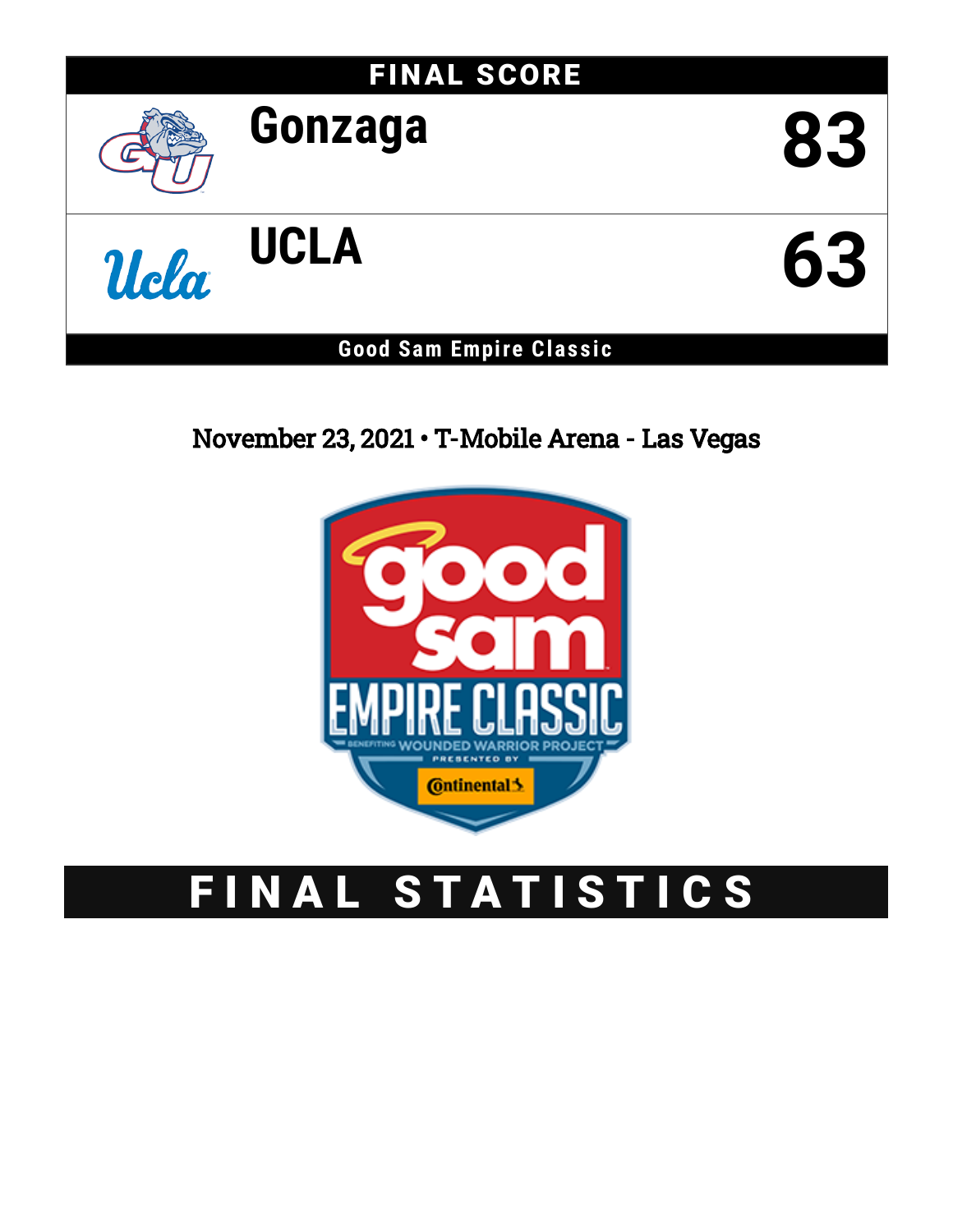# FINAL SCORE



# **Gonzaga 83**



# **Good Sam Empire Clas s ic**

# November 23, 2021 • T-Mobile Arena - Las Vegas



# FINAL STATISTICS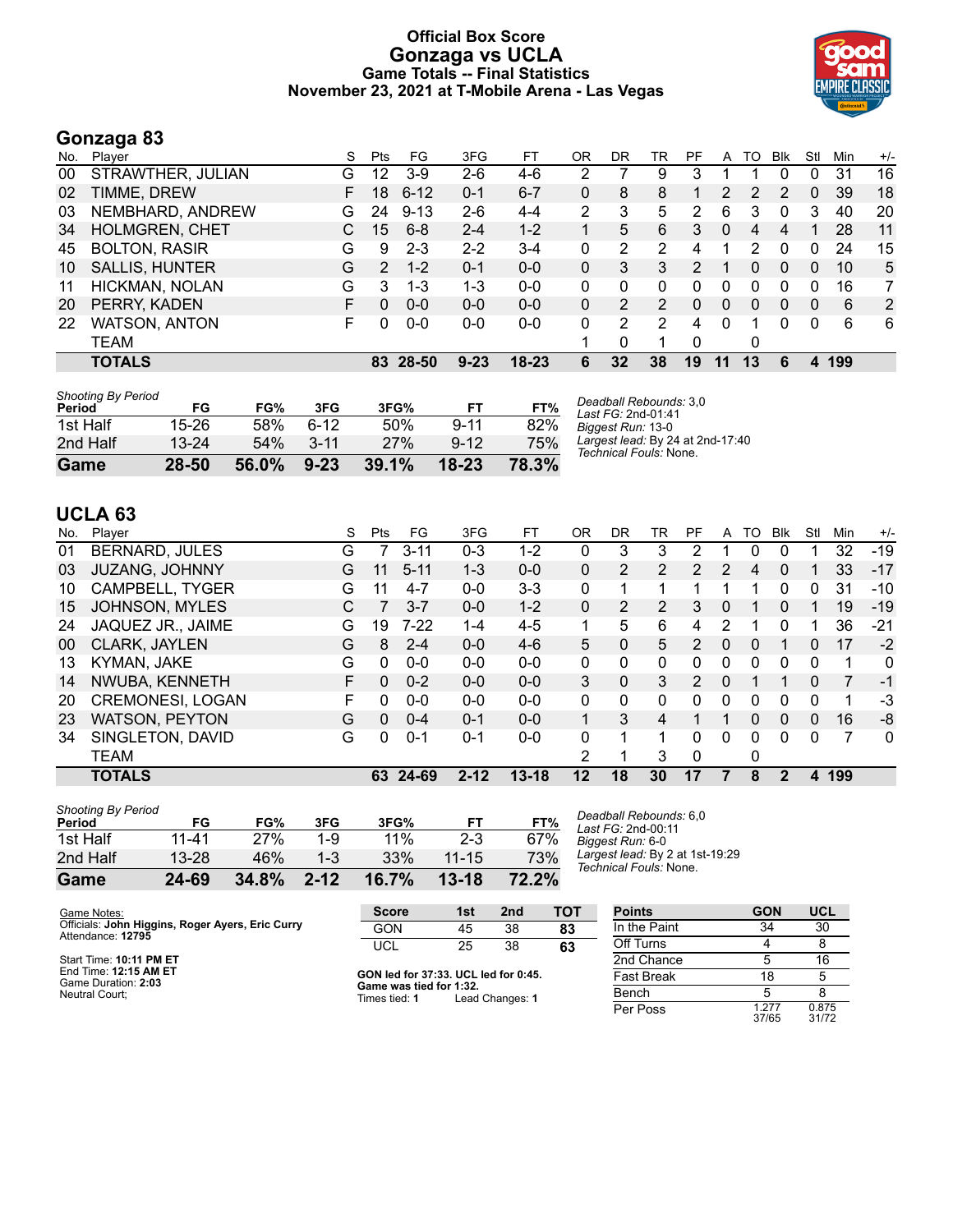# **Official Box Score Gonzaga vs UCLA Game Totals -- Final Statistics November 23, 2021 at T-Mobile Arena - Las Vegas**



# **Gonzaga 83**

| No. | Plaver                | S  | <b>Pts</b>    | FG       | 3FG      | FT        | ΟR | DR | TR | PF | A        | TO | <b>B</b> lk | Stl      | Min | $+/-$ |
|-----|-----------------------|----|---------------|----------|----------|-----------|----|----|----|----|----------|----|-------------|----------|-----|-------|
| 00  | STRAWTHER, JULIAN     | G  | 12            | $3-9$    | $2-6$    | 4-6       | າ  |    | 9  | 3  |          |    | 0           | 0        | 31  | 16    |
| 02  | TIMME, DREW           | F. | 18            | $6 - 12$ | $0 - 1$  | $6 - 7$   | 0  | 8  | 8  |    | 2        | 2  | 2           | 0        | 39  | 18    |
| 03  | NEMBHARD, ANDREW      | G  | 24            | $9 - 13$ | $2-6$    | $4 - 4$   | 2  | 3  | 5  | 2  | 6        | 3  | 0           | 3        | 40  | 20    |
| 34  | <b>HOLMGREN, CHET</b> | C. | 15            | $6 - 8$  | $2 - 4$  | $1 - 2$   |    | 5  | 6  | 3  | 0        | 4  | 4           |          | 28  | 11    |
| 45  | <b>BOLTON, RASIR</b>  | G  | 9             | $2 - 3$  | $2 - 2$  | $3 - 4$   | 0  | 2  | 2  | 4  |          | 2  | 0           | 0        | 24  | 15    |
| 10  | <b>SALLIS, HUNTER</b> | G  | $\mathcal{P}$ | $1 - 2$  | $0 - 1$  | $0-0$     | 0  | 3  | 3  | 2  |          | 0  | 0           | 0        | 10  | 5     |
| 11  | HICKMAN, NOLAN        | G  | 3             | $1 - 3$  | 1-3      | $0 - 0$   | 0  | 0  | 0  | 0  | 0        | 0  | $\Omega$    | 0        | 16  | 7     |
| 20  | PERRY, KADEN          | F. | $\Omega$      | $0 - 0$  | $0 - 0$  | $0 - 0$   | 0  | 2  | 2  | 0  | $\Omega$ | 0  | 0           | 0        | 6   | 2     |
| 22  | <b>WATSON, ANTON</b>  | F. | 0             | $0 - 0$  | $0 - 0$  | $0 - 0$   | 0  | 2  | 2  | 4  | $\Omega$ |    | 0           | $\Omega$ | 6   | 6     |
|     | TEAM                  |    |               |          |          |           |    | 0  |    | 0  |          | 0  |             |          |     |       |
|     | <b>TOTALS</b>         |    | 83            | 28-50    | $9 - 23$ | $18 - 23$ | 6  | 32 | 38 | 19 | 11       | 13 | 6           | 4        | 199 |       |

| <b>Shooting By Period</b> |           |       |          |       |          |       |
|---------------------------|-----------|-------|----------|-------|----------|-------|
| Period                    | FG        | FG%   | 3FG      | 3FG%  | FТ       | FT%   |
| 1st Half                  | $15-26$   | 58%   | հ-12     | 50%   | $9 - 11$ | 82%   |
| 2nd Half                  | $13 - 24$ | 54%   | $3 - 11$ | 27%   | $9 - 12$ | 75%   |
| Game                      | 28-50     | 56.0% | $9 - 23$ | 39.1% | 18-23    | 78.3% |

*Deadball Rebounds:* 3,0 *Last FG:* 2nd-01:41 *Biggest Run:* 13-0 *Largest lead:* By 24 at 2nd-17:40 *Technical Fouls:* None.

# **UCLA 63**

| No. | Plaver                  | S | Pts | FG.      | 3FG      | FТ        | 0R       | DR | TR             | PF            | A        | TO | Blk      | Stl      | Min | $+/-$        |
|-----|-------------------------|---|-----|----------|----------|-----------|----------|----|----------------|---------------|----------|----|----------|----------|-----|--------------|
| 01  | <b>BERNARD, JULES</b>   | G |     | $3 - 11$ | $0 - 3$  | 1-2       | 0        | 3  | 3              | 2             |          | 0  |          |          | 32  | $-19$        |
| 03  | <b>JUZANG, JOHNNY</b>   | G | 11  | $5 - 11$ | $1 - 3$  | $0 - 0$   | 0        | 2  | 2              | $\mathcal{P}$ | 2        | 4  | 0        |          | 33  | $-17$        |
| 10  | CAMPBELL, TYGER         | G | 11  | $4 - 7$  | $0 - 0$  | $3 - 3$   | 0        |    |                |               |          |    | 0        | 0        | 31  | $-10$        |
| 15  | <b>JOHNSON, MYLES</b>   | С |     | $3 - 7$  | $0 - 0$  | $1 - 2$   | $\Omega$ | 2  | $\overline{2}$ | 3             | 0        |    | 0        |          | 19  | $-19$        |
| 24  | JAQUEZ JR., JAIME       | G | 19  | $7 - 22$ | $1 - 4$  | $4 - 5$   | 1        | 5  | 6              | 4             | 2        |    | 0        |          | 36  | $-21$        |
| 00  | CLARK, JAYLEN           | G | 8   | $2 - 4$  | $0 - 0$  | $4-6$     | 5.       | 0  | 5              | $\mathcal{P}$ | $\Omega$ | 0  |          | 0        | 17  | $-2$         |
| 13  | KYMAN, JAKE             | G | 0   | $0 - 0$  | $0 - 0$  | $0 - 0$   | 0        | 0  | 0              | 0             | 0        | 0  | 0        | 0        |     | $\mathbf{0}$ |
| 14  | NWUBA, KENNETH          | F | 0   | $0 - 2$  | $0 - 0$  | $0 - 0$   | 3        | 0  | 3              | $\mathcal{P}$ | 0        |    |          | 0        | 7   | $-1$         |
| 20  | <b>CREMONESI, LOGAN</b> | F | 0   | $0 - 0$  | $0 - 0$  | $0 - 0$   | $\Omega$ | 0  | 0              | 0             | 0        | O  | 0        | 0        |     | -3           |
| 23  | <b>WATSON, PEYTON</b>   | G | 0   | $0 - 4$  | $0 - 1$  | $0 - 0$   |          | 3  | 4              |               |          | 0  | $\Omega$ | 0        | 16  | -8           |
| 34  | SINGLETON, DAVID        | G | 0   | $0 - 1$  | $0 - 1$  | $0 - 0$   | 0        | 1  | 1              | 0             | $\Omega$ | 0  | 0        | $\Omega$ | 7   | $\mathbf{0}$ |
|     | <b>TEAM</b>             |   |     |          |          |           | 2        |    | 3              | 0             |          | 0  |          |          |     |              |
|     | <b>TOTALS</b>           |   | 63. | 24-69    | $2 - 12$ | $13 - 18$ | 12       | 18 | 30             | 17            |          | 8  | 2        | 4        | 199 |              |

| <b>Shooting By Period</b> |           |       |          |       |           |       |
|---------------------------|-----------|-------|----------|-------|-----------|-------|
| Period                    | FG        | FG%   | 3FG      | 3FG%  | FТ        | FT%   |
| 1st Half                  | 11-41     | 27%   | 1-9      | 11%   | $2-3$     | 67%   |
| 2nd Half                  | $13 - 28$ | 46%   | $1 - 3$  | 33%   | $11 - 15$ | 73%   |
| Game                      | 24-69     | 34.8% | $2 - 12$ | 16.7% | $13 - 18$ | 72.2% |

*Deadball Rebounds:* 6,0 *Last FG:* 2nd-00:11 *Biggest Run:* 6-0 *Largest lead:* By 2 at 1st-19:29 *Technical Fouls:* None.

| Game Notes:                                      | <b>Score</b>                             | 1st | 2nd             | тот               | <b>Points</b> | <b>GON</b>     | <b>UCL</b>     |
|--------------------------------------------------|------------------------------------------|-----|-----------------|-------------------|---------------|----------------|----------------|
| Officials: John Higgins, Roger Ayers, Eric Curry | GON                                      | 45  | 38              | 83                | In the Paint  | 34             | 30             |
| Attendance: 12795                                | <b>UCL</b>                               | 25  | 38              |                   | Off Turns     |                |                |
| Start Time: 10:11 PM ET                          |                                          |     |                 |                   | 2nd Chance    |                | 16             |
| End Time: 12:15 AM ET<br>Game Duration: 2:03     | GON led for 37:33. UCL led for 0:45.     |     |                 | <b>Fast Break</b> | 18            |                |                |
| Neutral Court:                                   | Game was tied for 1:32.<br>Times tied: 1 |     | Lead Changes: 1 |                   | Bench         |                |                |
|                                                  |                                          |     |                 |                   | Per Poss      | 1.277<br>37/65 | 0.875<br>31/72 |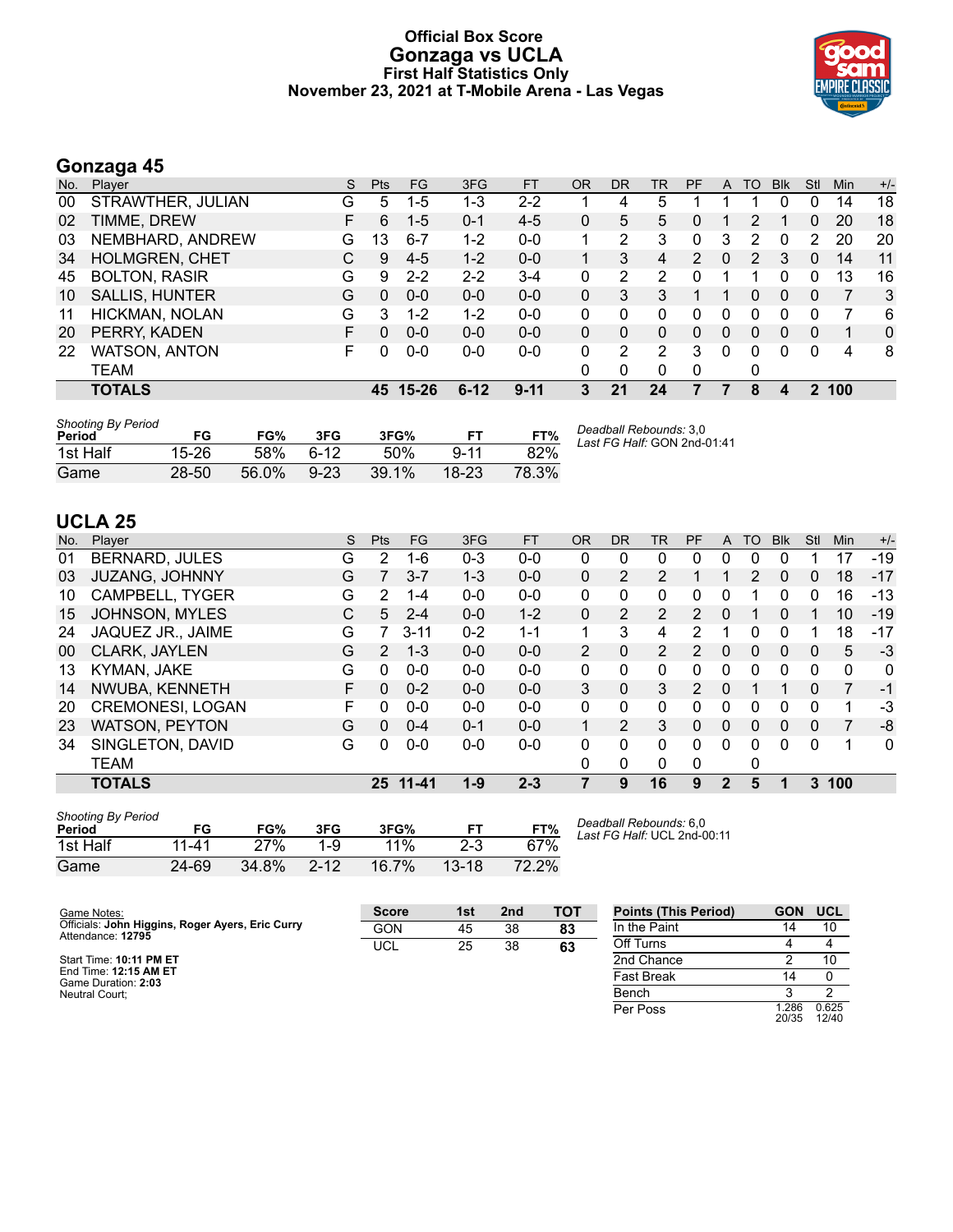#### **Official Box Score Gonzaga vs UCLA First Half Statistics Only November 23, 2021 at T-Mobile Arena - Las Vegas**



# **Gonzaga 45**

| No. | Plaver                | <sub>S</sub> | <b>Pts</b> | <b>FG</b> | 3FG      | <b>FT</b> | <b>OR</b> | DR       | TR             | PF             | A        | TO. | <b>Blk</b>   | Stl      | Min | $+/-$ |
|-----|-----------------------|--------------|------------|-----------|----------|-----------|-----------|----------|----------------|----------------|----------|-----|--------------|----------|-----|-------|
| 00  | STRAWTHER, JULIAN     | G            | 5          | $1 - 5$   | 1-3      | $2 - 2$   |           | 4        | 5              |                |          |     | 0            | 0        | 14  | 18    |
| 02  | TIMME, DREW           | F.           | 6          | $1 - 5$   | $0 - 1$  | $4 - 5$   | 0         | 5        | 5.             | 0              |          | 2   |              | 0        | 20  | 18    |
| 03  | NEMBHARD, ANDREW      | G            | 13         | $6 - 7$   | $1-2$    | $0 - 0$   |           | 2        | 3              | 0              | 3        | 2   | 0            | 2        | 20  | 20    |
| 34  | <b>HOLMGREN, CHET</b> | C.           | 9          | $4-5$     | $1 - 2$  | $0-0$     |           | 3        | 4              | $\overline{2}$ | $\Omega$ | 2   | 3            | 0        | 14  | 11    |
| 45  | <b>BOLTON, RASIR</b>  | G            | 9          | $2 - 2$   | $2 - 2$  | $3 - 4$   | 0         | 2        | $\overline{2}$ |                |          |     |              | 0        | 13  | 16    |
| 10  | <b>SALLIS, HUNTER</b> | G            | $\Omega$   | $0 - 0$   | $0 - 0$  | $0 - 0$   | 0         | 3        | 3              |                |          | 0   | $\mathbf{0}$ | 0        | 7   | 3     |
| 11  | HICKMAN, NOLAN        | G            | 3          | $1 - 2$   | $1 - 2$  | $0 - 0$   | 0         | 0        | 0              | 0              | 0        | 0   |              | 0        |     | 6     |
| 20  | PERRY, KADEN          | F.           | $\Omega$   | $0 - 0$   | $0 - 0$  | $0 - 0$   | 0         | $\Omega$ | 0              | 0              | 0        | 0   | 0            | $\Omega$ | 1   | 0     |
| 22  | <b>WATSON, ANTON</b>  | F.           | 0          | $0 - 0$   | $0 - 0$  | $0 - 0$   | 0         | 2        | 2              | 3              | 0        | 0   | $\Omega$     | 0        | 4   | 8     |
|     | TEAM                  |              |            |           |          |           | 0         | 0        | 0              | 0              |          | 0   |              |          |     |       |
|     | <b>TOTALS</b>         |              | 45         | 15-26     | $6 - 12$ | $9 - 11$  | 3         | 21       | 24             |                |          | 8   | 4            | 2        | 100 |       |

| <b>Shooting By Period</b><br>Period | FG        | FG%   | 3FG      | 3FG%     |           | FT%   | Deadball Rebounds: 3,0<br>Last FG Half: GON 2nd-01:41 |
|-------------------------------------|-----------|-------|----------|----------|-----------|-------|-------------------------------------------------------|
| 1st Half                            | 15-26     | .58%  | հ-12     | 50%      | $9 - 11$  | 82%   |                                                       |
| Game                                | $28 - 50$ | 56.0% | $9 - 23$ | $39.1\%$ | $18 - 23$ | 78.3% |                                                       |

# **UCLA 25**

| No. | Plaver                  | S | <b>Pts</b>    | <b>FG</b> | 3FG     | <b>FT</b> | <b>OR</b>      | DR             | TR       | <b>PF</b>     | A        | TO       | <b>Blk</b> | Stl      | Min          | $+/-$ |
|-----|-------------------------|---|---------------|-----------|---------|-----------|----------------|----------------|----------|---------------|----------|----------|------------|----------|--------------|-------|
| 01  | <b>BERNARD, JULES</b>   | G | $\mathcal{P}$ | 1-6       | $0 - 3$ | $0 - 0$   | 0              | 0              | 0        | 0             | 0        | 0        | 0          |          | 17           | $-19$ |
| 03  | <b>JUZANG, JOHNNY</b>   | G | 7             | $3 - 7$   | $1 - 3$ | $0 - 0$   | $\mathbf{0}$   | 2              | 2        |               |          | 2        | 0          | 0        | 18           | $-17$ |
| 10  | <b>CAMPBELL, TYGER</b>  | G | 2             | $1 - 4$   | $0 - 0$ | $0 - 0$   | 0              | 0              | 0        | 0             | 0        |          | 0          | 0        | 16           | -13   |
| 15  | <b>JOHNSON, MYLES</b>   | C | 5.            | $2 - 4$   | $0 - 0$ | $1 - 2$   | $\Omega$       | 2              | 2        | 2             | $\Omega$ | 1        | 0          |          | 10           | $-19$ |
| 24  | JAQUEZ JR., JAIME       | G |               | $3 - 11$  | $0 - 2$ | $1 - 1$   |                | 3              | 4        | 2             |          | 0        | 0          |          | 18           | -17   |
| 00  | CLARK, JAYLEN           | G | $\mathcal{P}$ | $1 - 3$   | $0 - 0$ | $0 - 0$   | $\overline{2}$ | 0              | 2        | 2             | 0        | 0        | 0          | 0        | 5            | $-3$  |
| 13  | KYMAN, JAKE             | G | 0             | $0 - 0$   | $0 - 0$ | $0 - 0$   | 0              | 0              | 0        | 0             | 0        | 0        | 0          | $\Omega$ | $\mathbf{0}$ | 0     |
| 14  | NWUBA, KENNETH          | F | 0             | $0 - 2$   | $0 - 0$ | $0 - 0$   | 3              | 0              | 3        | $\mathcal{P}$ | 0        |          |            | 0        |              | $-1$  |
| 20  | <b>CREMONESI, LOGAN</b> | F | 0             | $0 - 0$   | $0 - 0$ | $0 - 0$   | $\Omega$       | 0              | 0        | 0             | 0        | 0        | 0          | 0        | 1            | -3    |
| 23  | <b>WATSON, PEYTON</b>   | G | 0             | $0 - 4$   | $0 - 1$ | $0 - 0$   | 1              | $\overline{2}$ | 3        | $\Omega$      | 0        | $\Omega$ | 0          | 0        | 7            | -8    |
| 34  | SINGLETON, DAVID        | G | 0             | $0-0$     | $0-0$   | $0 - 0$   | 0              | 0              | $\Omega$ | 0             | $\Omega$ | 0        | 0          | $\Omega$ |              | 0     |
|     | <b>TEAM</b>             |   |               |           |         |           | 0              | 0              | $\Omega$ | 0             |          | 0        |            |          |              |       |
|     | <b>TOTALS</b>           |   | 25            | $11 - 41$ | $1 - 9$ | $2 - 3$   | 7              | 9              | 16       | 9             | 2        | 5        |            | 3        | 100          |       |

| <b>Shooting By Period</b><br>Period | FG    | FG%   | 3FG      | 3FG%  |           | FT%   |
|-------------------------------------|-------|-------|----------|-------|-----------|-------|
| 1st Half                            | 11-41 | 27%   | 1-9      | 11%   | $2 - 3$   | 67%   |
| Game                                | 24-69 | 34.8% | $2 - 12$ | 16.7% | $13 - 18$ | 72.2% |

*Deadball Rebounds:* 6,0 *Last FG Half:* UCL 2nd-00:11

| Game Notes:                                                           | <b>Score</b> | 1st | 2nd | <b>TOT</b> | <b>Points (This Period)</b> | <b>GON</b>    | <b>UCL</b>     |
|-----------------------------------------------------------------------|--------------|-----|-----|------------|-----------------------------|---------------|----------------|
| Officials: John Higgins, Roger Ayers, Eric Curry<br>Attendance: 12795 | <b>GON</b>   | 45  | 38  | 83         | In the Paint                | 14            | 10             |
|                                                                       | <b>UCL</b>   | 25  | 38  | 63         | Off Turns                   |               |                |
| Start Time: 10:11 PM ET                                               |              |     |     |            | 2nd Chance                  |               | 10             |
| End Time: 12:15 AM ET<br>Game Duration: 2:03                          |              |     |     |            | <b>Fast Break</b>           | 14            |                |
| Neutral Court:                                                        |              |     |     |            | Bench                       |               |                |
|                                                                       |              |     |     |            | Per Poss                    | .286<br>20/35 | 0.625<br>12/40 |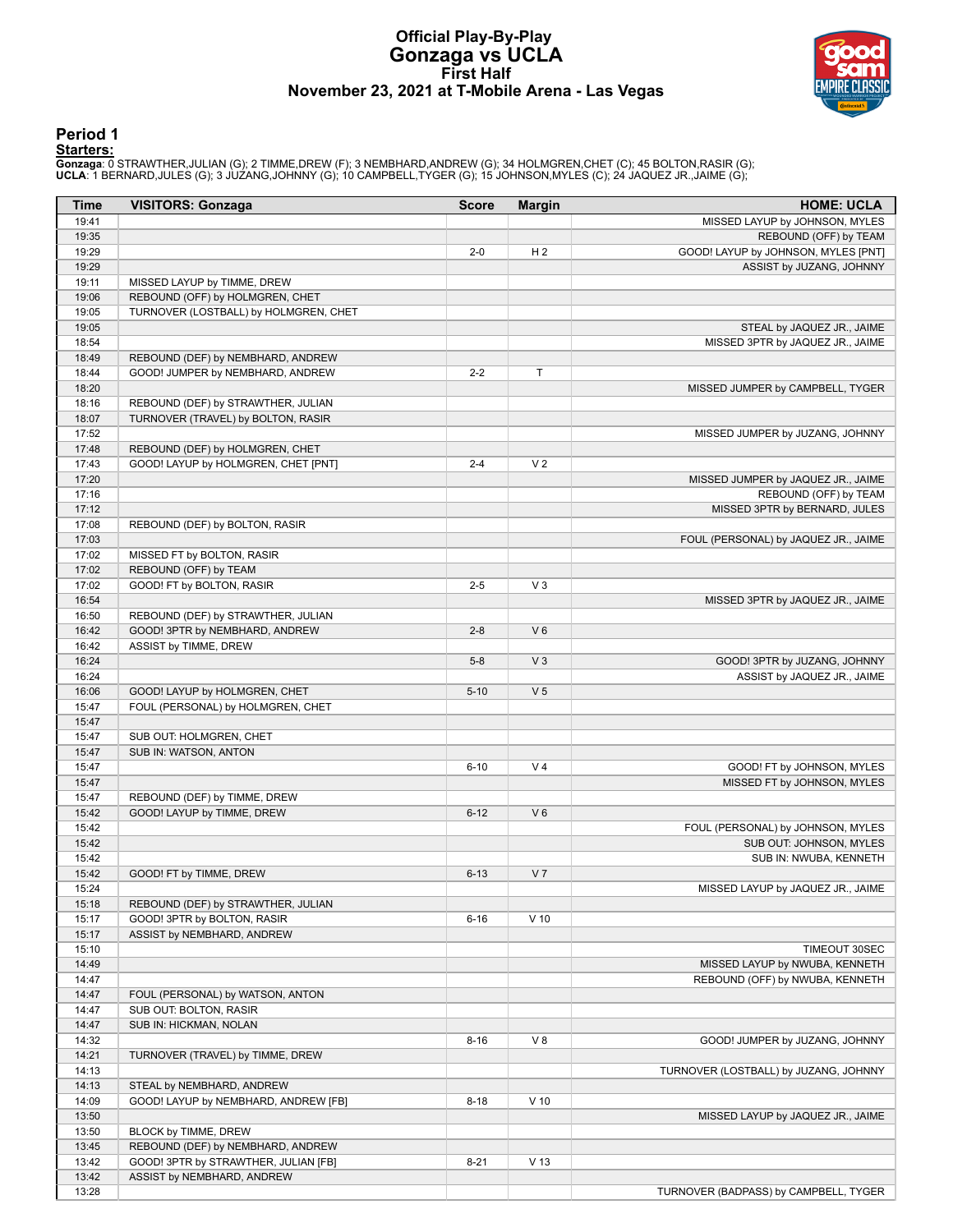# **Official Play-By-Play Gonzaga vs UCLA First Half November 23, 2021 at T-Mobile Arena - Las Vegas**



### **Period 1**

<mark>Starters:</mark><br>Gonzaga: 0 STRAWTHER,JULIAN (G); 2 TIMME,DREW (F); 3 NEMBHARD,ANDREW (G); 34 HOLMGREN,CHET (C); 45 BOLTON,RASIR (G);<br>**UCLA**: 1 BERNARD,JULES (G); 3 JUZANG,JOHNNY (G); 10 CAMPBELL,TYGER (G); 15 JOHNSON,MYLES (C)

| Time           | <b>VISITORS: Gonzaga</b>                                                  | <b>Score</b> | <b>Margin</b>   | <b>HOME: UCLA</b>                     |
|----------------|---------------------------------------------------------------------------|--------------|-----------------|---------------------------------------|
| 19:41          |                                                                           |              |                 | MISSED LAYUP by JOHNSON, MYLES        |
| 19:35          |                                                                           |              |                 | REBOUND (OFF) by TEAM                 |
| 19:29          |                                                                           | $2 - 0$      | H <sub>2</sub>  | GOOD! LAYUP by JOHNSON, MYLES [PNT]   |
| 19:29          |                                                                           |              |                 | ASSIST by JUZANG, JOHNNY              |
| 19:11          | MISSED LAYUP by TIMME, DREW                                               |              |                 |                                       |
| 19:06          | REBOUND (OFF) by HOLMGREN, CHET                                           |              |                 |                                       |
| 19:05          | TURNOVER (LOSTBALL) by HOLMGREN, CHET                                     |              |                 |                                       |
| 19:05          |                                                                           |              |                 | STEAL by JAQUEZ JR., JAIME            |
| 18:54          |                                                                           |              |                 | MISSED 3PTR by JAQUEZ JR., JAIME      |
| 18:49<br>18:44 | REBOUND (DEF) by NEMBHARD, ANDREW                                         | $2 - 2$      | T               |                                       |
| 18:20          | GOOD! JUMPER by NEMBHARD, ANDREW                                          |              |                 | MISSED JUMPER by CAMPBELL, TYGER      |
| 18:16          | REBOUND (DEF) by STRAWTHER, JULIAN                                        |              |                 |                                       |
| 18:07          | TURNOVER (TRAVEL) by BOLTON, RASIR                                        |              |                 |                                       |
| 17:52          |                                                                           |              |                 | MISSED JUMPER by JUZANG, JOHNNY       |
| 17:48          | REBOUND (DEF) by HOLMGREN, CHET                                           |              |                 |                                       |
| 17:43          | GOOD! LAYUP by HOLMGREN, CHET [PNT]                                       | $2 - 4$      | V <sub>2</sub>  |                                       |
| 17:20          |                                                                           |              |                 | MISSED JUMPER by JAQUEZ JR., JAIME    |
| 17:16          |                                                                           |              |                 | REBOUND (OFF) by TEAM                 |
| 17:12          |                                                                           |              |                 | MISSED 3PTR by BERNARD, JULES         |
| 17:08          | REBOUND (DEF) by BOLTON, RASIR                                            |              |                 |                                       |
| 17:03          |                                                                           |              |                 | FOUL (PERSONAL) by JAQUEZ JR., JAIME  |
| 17:02          | MISSED FT by BOLTON, RASIR                                                |              |                 |                                       |
| 17:02          | REBOUND (OFF) by TEAM                                                     |              |                 |                                       |
| 17:02          | GOOD! FT by BOLTON, RASIR                                                 | $2 - 5$      | $V_3$           |                                       |
| 16:54          |                                                                           |              |                 | MISSED 3PTR by JAQUEZ JR., JAIME      |
| 16:50          | REBOUND (DEF) by STRAWTHER, JULIAN                                        |              |                 |                                       |
| 16:42          | GOOD! 3PTR by NEMBHARD, ANDREW                                            | $2 - 8$      | $V_6$           |                                       |
| 16:42          | ASSIST by TIMME, DREW                                                     |              |                 |                                       |
| 16:24          |                                                                           | $5 - 8$      | V <sub>3</sub>  | GOOD! 3PTR by JUZANG, JOHNNY          |
| 16:24          |                                                                           |              |                 | ASSIST by JAQUEZ JR., JAIME           |
| 16:06          | GOOD! LAYUP by HOLMGREN, CHET                                             | $5 - 10$     | V <sub>5</sub>  |                                       |
| 15:47          | FOUL (PERSONAL) by HOLMGREN, CHET                                         |              |                 |                                       |
| 15:47<br>15:47 | SUB OUT: HOLMGREN, CHET                                                   |              |                 |                                       |
| 15:47          | SUB IN: WATSON, ANTON                                                     |              |                 |                                       |
| 15:47          |                                                                           | $6 - 10$     | V <sub>4</sub>  | GOOD! FT by JOHNSON, MYLES            |
| 15:47          |                                                                           |              |                 | MISSED FT by JOHNSON, MYLES           |
| 15:47          | REBOUND (DEF) by TIMME, DREW                                              |              |                 |                                       |
| 15:42          | GOOD! LAYUP by TIMME, DREW                                                | $6 - 12$     | $V_6$           |                                       |
| 15:42          |                                                                           |              |                 | FOUL (PERSONAL) by JOHNSON, MYLES     |
| 15:42          |                                                                           |              |                 | SUB OUT: JOHNSON, MYLES               |
| 15:42          |                                                                           |              |                 | SUB IN: NWUBA, KENNETH                |
| 15:42          | GOOD! FT by TIMME, DREW                                                   | $6 - 13$     | V <sub>7</sub>  |                                       |
| 15:24          |                                                                           |              |                 | MISSED LAYUP by JAQUEZ JR., JAIME     |
| 15:18          | REBOUND (DEF) by STRAWTHER, JULIAN                                        |              |                 |                                       |
| 15:17          | GOOD! 3PTR by BOLTON, RASIR                                               | $6 - 16$     | $V$ 10          |                                       |
| 15:17          | ASSIST by NEMBHARD, ANDREW                                                |              |                 |                                       |
| 15:10          |                                                                           |              |                 | TIMEOUT 30SEC                         |
| 14:49          |                                                                           |              |                 | MISSED LAYUP by NWUBA, KENNETH        |
| 14:47          |                                                                           |              |                 | REBOUND (OFF) by NWUBA, KENNETH       |
| 14:47          | FOUL (PERSONAL) by WATSON, ANTON                                          |              |                 |                                       |
| 14:47          | SUB OUT: BOLTON, RASIR                                                    |              |                 |                                       |
| 14:47          | SUB IN: HICKMAN, NOLAN                                                    |              |                 |                                       |
| 14:32          |                                                                           | $8 - 16$     | V8              | GOOD! JUMPER by JUZANG, JOHNNY        |
| 14:21          | TURNOVER (TRAVEL) by TIMME, DREW                                          |              |                 |                                       |
| 14:13          |                                                                           |              |                 | TURNOVER (LOSTBALL) by JUZANG, JOHNNY |
| 14:13          | STEAL by NEMBHARD, ANDREW                                                 |              |                 |                                       |
| 14:09          | GOOD! LAYUP by NEMBHARD, ANDREW [FB]                                      | $8 - 18$     | $V$ 10          |                                       |
| 13:50<br>13:50 |                                                                           |              |                 | MISSED LAYUP by JAQUEZ JR., JAIME     |
| 13:45          | BLOCK by TIMME, DREW                                                      |              |                 |                                       |
| 13:42          | REBOUND (DEF) by NEMBHARD, ANDREW<br>GOOD! 3PTR by STRAWTHER, JULIAN [FB] | $8 - 21$     | V <sub>13</sub> |                                       |
| 13:42          | ASSIST by NEMBHARD, ANDREW                                                |              |                 |                                       |
| 13:28          |                                                                           |              |                 | TURNOVER (BADPASS) by CAMPBELL, TYGER |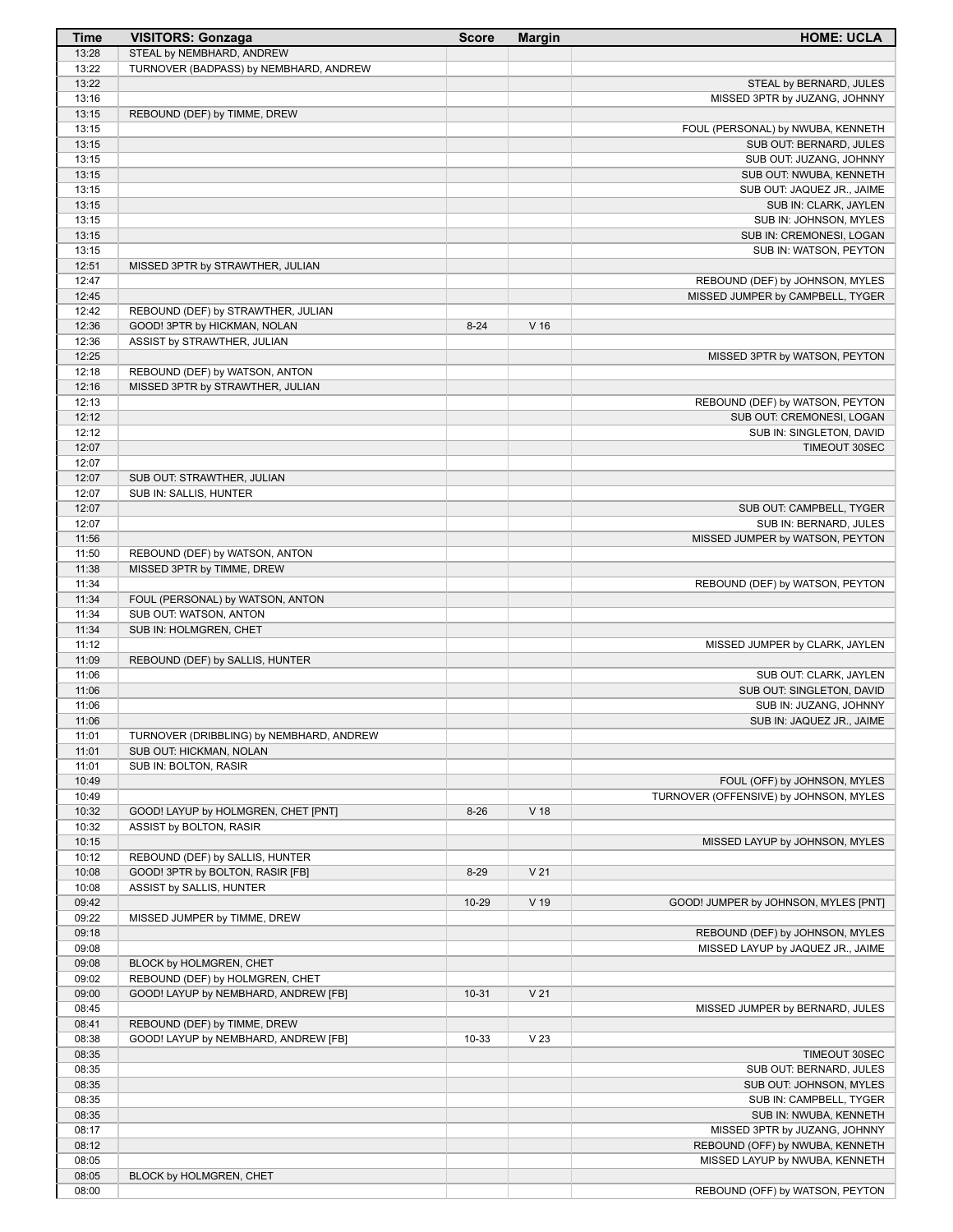| <b>Time</b>    | <b>VISITORS: Gonzaga</b>                                            | <b>Score</b> | <b>Margin</b>   | <b>HOME: UCLA</b>                                            |
|----------------|---------------------------------------------------------------------|--------------|-----------------|--------------------------------------------------------------|
| 13:28          | STEAL by NEMBHARD, ANDREW                                           |              |                 |                                                              |
| 13:22          | TURNOVER (BADPASS) by NEMBHARD, ANDREW                              |              |                 |                                                              |
| 13:22          |                                                                     |              |                 | STEAL by BERNARD, JULES                                      |
| 13:16          |                                                                     |              |                 | MISSED 3PTR by JUZANG, JOHNNY                                |
| 13:15<br>13:15 | REBOUND (DEF) by TIMME, DREW                                        |              |                 |                                                              |
| 13:15          |                                                                     |              |                 | FOUL (PERSONAL) by NWUBA, KENNETH<br>SUB OUT: BERNARD, JULES |
| 13:15          |                                                                     |              |                 | SUB OUT: JUZANG, JOHNNY                                      |
| 13:15          |                                                                     |              |                 | SUB OUT: NWUBA, KENNETH                                      |
| 13:15          |                                                                     |              |                 | SUB OUT: JAQUEZ JR., JAIME                                   |
| 13:15          |                                                                     |              |                 | SUB IN: CLARK, JAYLEN                                        |
| 13:15          |                                                                     |              |                 | SUB IN: JOHNSON, MYLES                                       |
| 13:15          |                                                                     |              |                 | SUB IN: CREMONESI, LOGAN                                     |
| 13:15          |                                                                     |              |                 | SUB IN: WATSON, PEYTON                                       |
| 12:51          | MISSED 3PTR by STRAWTHER, JULIAN                                    |              |                 |                                                              |
| 12:47          |                                                                     |              |                 | REBOUND (DEF) by JOHNSON, MYLES                              |
| 12:45          |                                                                     |              |                 | MISSED JUMPER by CAMPBELL, TYGER                             |
| 12:42<br>12:36 | REBOUND (DEF) by STRAWTHER, JULIAN<br>GOOD! 3PTR by HICKMAN, NOLAN  | $8 - 24$     | V <sub>16</sub> |                                                              |
| 12:36          | ASSIST by STRAWTHER, JULIAN                                         |              |                 |                                                              |
| 12:25          |                                                                     |              |                 | MISSED 3PTR by WATSON, PEYTON                                |
| 12:18          | REBOUND (DEF) by WATSON, ANTON                                      |              |                 |                                                              |
| 12:16          | MISSED 3PTR by STRAWTHER, JULIAN                                    |              |                 |                                                              |
| 12:13          |                                                                     |              |                 | REBOUND (DEF) by WATSON, PEYTON                              |
| 12:12          |                                                                     |              |                 | SUB OUT: CREMONESI, LOGAN                                    |
| 12:12          |                                                                     |              |                 | SUB IN: SINGLETON, DAVID                                     |
| 12:07          |                                                                     |              |                 | TIMEOUT 30SEC                                                |
| 12:07          |                                                                     |              |                 |                                                              |
| 12:07          | SUB OUT: STRAWTHER, JULIAN                                          |              |                 |                                                              |
| 12:07          | SUB IN: SALLIS, HUNTER                                              |              |                 |                                                              |
| 12:07<br>12:07 |                                                                     |              |                 | SUB OUT: CAMPBELL, TYGER<br>SUB IN: BERNARD, JULES           |
| 11:56          |                                                                     |              |                 | MISSED JUMPER by WATSON, PEYTON                              |
| 11:50          | REBOUND (DEF) by WATSON, ANTON                                      |              |                 |                                                              |
| 11:38          | MISSED 3PTR by TIMME, DREW                                          |              |                 |                                                              |
| 11:34          |                                                                     |              |                 | REBOUND (DEF) by WATSON, PEYTON                              |
| 11:34          | FOUL (PERSONAL) by WATSON, ANTON                                    |              |                 |                                                              |
| 11:34          | SUB OUT: WATSON, ANTON                                              |              |                 |                                                              |
| 11:34          | SUB IN: HOLMGREN, CHET                                              |              |                 |                                                              |
| 11:12          |                                                                     |              |                 | MISSED JUMPER by CLARK, JAYLEN                               |
| 11:09          | REBOUND (DEF) by SALLIS, HUNTER                                     |              |                 |                                                              |
| 11:06<br>11:06 |                                                                     |              |                 | SUB OUT: CLARK, JAYLEN                                       |
| 11:06          |                                                                     |              |                 | SUB OUT: SINGLETON, DAVID<br>SUB IN: JUZANG, JOHNNY          |
| 11:06          |                                                                     |              |                 | SUB IN: JAQUEZ JR., JAIME                                    |
| 11:01          | TURNOVER (DRIBBLING) by NEMBHARD, ANDREW                            |              |                 |                                                              |
| 11:01          | SUB OUT: HICKMAN, NOLAN                                             |              |                 |                                                              |
| 11:01          | SUB IN: BOLTON, RASIR                                               |              |                 |                                                              |
| 10:49          |                                                                     |              |                 | FOUL (OFF) by JOHNSON, MYLES                                 |
| 10:49          |                                                                     |              |                 | TURNOVER (OFFENSIVE) by JOHNSON, MYLES                       |
| 10:32          | GOOD! LAYUP by HOLMGREN, CHET [PNT]                                 | $8 - 26$     | V 18            |                                                              |
| 10:32          | ASSIST by BOLTON, RASIR                                             |              |                 |                                                              |
| 10:15          |                                                                     |              |                 | MISSED LAYUP by JOHNSON, MYLES                               |
| 10:12<br>10:08 | REBOUND (DEF) by SALLIS, HUNTER<br>GOOD! 3PTR by BOLTON, RASIR [FB] | $8 - 29$     | V <sub>21</sub> |                                                              |
| 10:08          | ASSIST by SALLIS, HUNTER                                            |              |                 |                                                              |
| 09:42          |                                                                     | 10-29        | V 19            | GOOD! JUMPER by JOHNSON, MYLES [PNT]                         |
| 09:22          | MISSED JUMPER by TIMME, DREW                                        |              |                 |                                                              |
| 09:18          |                                                                     |              |                 | REBOUND (DEF) by JOHNSON, MYLES                              |
| 09:08          |                                                                     |              |                 | MISSED LAYUP by JAQUEZ JR., JAIME                            |
| 09:08          | BLOCK by HOLMGREN, CHET                                             |              |                 |                                                              |
| 09:02          | REBOUND (DEF) by HOLMGREN, CHET                                     |              |                 |                                                              |
| 09:00          | GOOD! LAYUP by NEMBHARD, ANDREW [FB]                                | $10 - 31$    | V <sub>21</sub> |                                                              |
| 08:45          |                                                                     |              |                 | MISSED JUMPER by BERNARD, JULES                              |
| 08:41          | REBOUND (DEF) by TIMME, DREW                                        |              |                 |                                                              |
| 08:38<br>08:35 | GOOD! LAYUP by NEMBHARD, ANDREW [FB]                                | 10-33        | V <sub>23</sub> | TIMEOUT 30SEC                                                |
| 08:35          |                                                                     |              |                 | SUB OUT: BERNARD, JULES                                      |
| 08:35          |                                                                     |              |                 | SUB OUT: JOHNSON, MYLES                                      |
| 08:35          |                                                                     |              |                 | SUB IN: CAMPBELL, TYGER                                      |
| 08:35          |                                                                     |              |                 | SUB IN: NWUBA, KENNETH                                       |
| 08:17          |                                                                     |              |                 | MISSED 3PTR by JUZANG, JOHNNY                                |
| 08:12          |                                                                     |              |                 | REBOUND (OFF) by NWUBA, KENNETH                              |
| 08:05          |                                                                     |              |                 | MISSED LAYUP by NWUBA, KENNETH                               |
| 08:05          | BLOCK by HOLMGREN, CHET                                             |              |                 |                                                              |
| 08:00          |                                                                     |              |                 | REBOUND (OFF) by WATSON, PEYTON                              |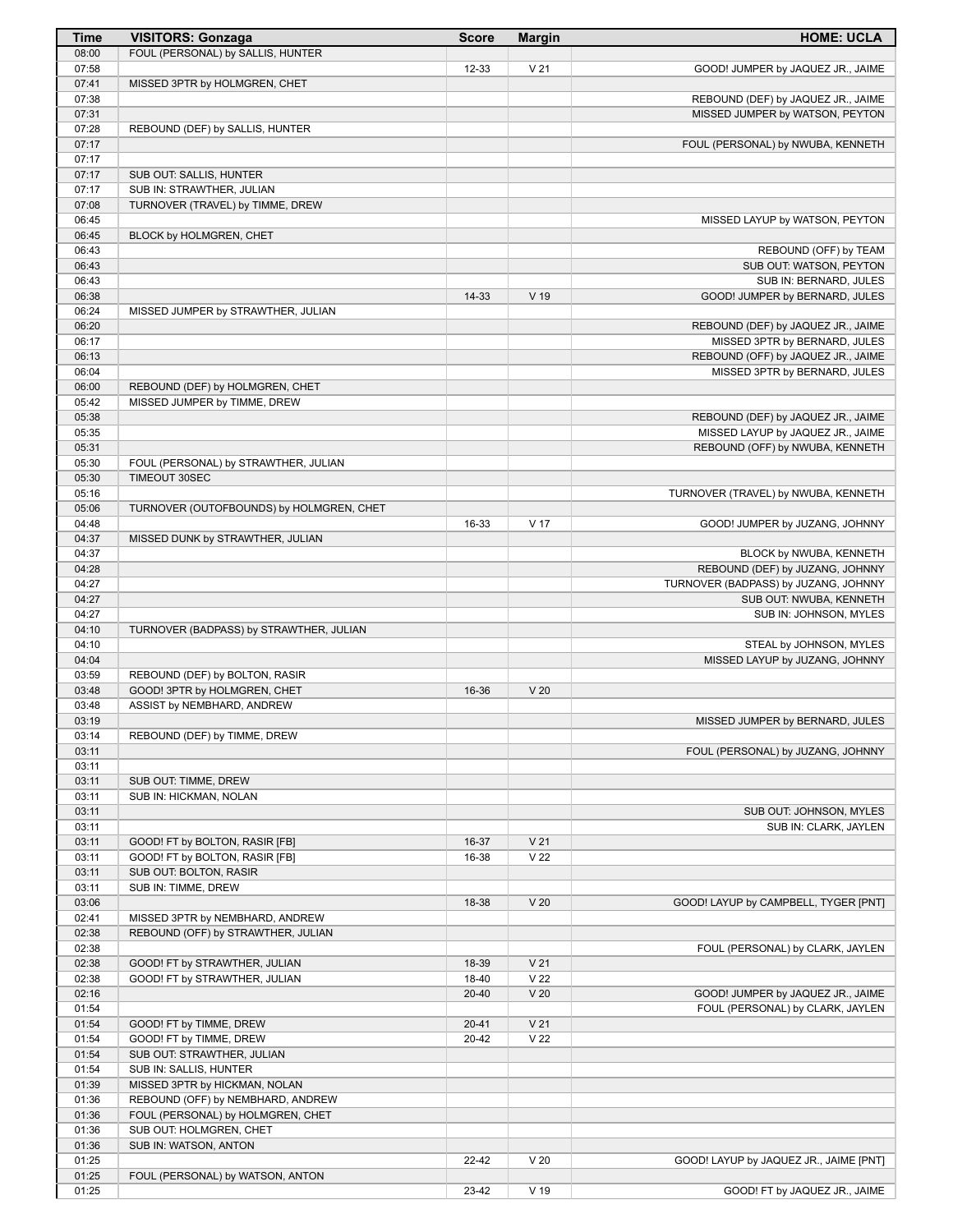| Time           | <b>VISITORS: Gonzaga</b>                                         | <b>Score</b>   | <b>Margin</b>   | <b>HOME: UCLA</b>                      |
|----------------|------------------------------------------------------------------|----------------|-----------------|----------------------------------------|
| 08:00          | FOUL (PERSONAL) by SALLIS, HUNTER                                |                |                 |                                        |
| 07:58          |                                                                  | 12-33          | V <sub>21</sub> | GOOD! JUMPER by JAQUEZ JR., JAIME      |
| 07:41          | MISSED 3PTR by HOLMGREN, CHET                                    |                |                 |                                        |
| 07:38          |                                                                  |                |                 | REBOUND (DEF) by JAQUEZ JR., JAIME     |
| 07:31<br>07:28 | REBOUND (DEF) by SALLIS, HUNTER                                  |                |                 | MISSED JUMPER by WATSON, PEYTON        |
| 07:17          |                                                                  |                |                 | FOUL (PERSONAL) by NWUBA, KENNETH      |
| 07:17          |                                                                  |                |                 |                                        |
| 07:17          | SUB OUT: SALLIS, HUNTER                                          |                |                 |                                        |
| 07:17          | SUB IN: STRAWTHER, JULIAN                                        |                |                 |                                        |
| 07:08          | TURNOVER (TRAVEL) by TIMME, DREW                                 |                |                 |                                        |
| 06:45          |                                                                  |                |                 | MISSED LAYUP by WATSON, PEYTON         |
| 06:45          | BLOCK by HOLMGREN, CHET                                          |                |                 |                                        |
| 06:43          |                                                                  |                |                 | REBOUND (OFF) by TEAM                  |
| 06:43          |                                                                  |                |                 | SUB OUT: WATSON, PEYTON                |
| 06:43<br>06:38 |                                                                  | 14-33          | $V$ 19          | SUB IN: BERNARD, JULES                 |
| 06:24          | MISSED JUMPER by STRAWTHER, JULIAN                               |                |                 | GOOD! JUMPER by BERNARD, JULES         |
| 06:20          |                                                                  |                |                 | REBOUND (DEF) by JAQUEZ JR., JAIME     |
| 06:17          |                                                                  |                |                 | MISSED 3PTR by BERNARD, JULES          |
| 06:13          |                                                                  |                |                 | REBOUND (OFF) by JAQUEZ JR., JAIME     |
| 06:04          |                                                                  |                |                 | MISSED 3PTR by BERNARD, JULES          |
| 06:00          | REBOUND (DEF) by HOLMGREN, CHET                                  |                |                 |                                        |
| 05:42          | MISSED JUMPER by TIMME, DREW                                     |                |                 |                                        |
| 05:38          |                                                                  |                |                 | REBOUND (DEF) by JAQUEZ JR., JAIME     |
| 05:35          |                                                                  |                |                 | MISSED LAYUP by JAQUEZ JR., JAIME      |
| 05:31          |                                                                  |                |                 | REBOUND (OFF) by NWUBA, KENNETH        |
| 05:30          | FOUL (PERSONAL) by STRAWTHER, JULIAN                             |                |                 |                                        |
| 05:30<br>05:16 | TIMEOUT 30SEC                                                    |                |                 |                                        |
| 05:06          | TURNOVER (OUTOFBOUNDS) by HOLMGREN, CHET                         |                |                 | TURNOVER (TRAVEL) by NWUBA, KENNETH    |
| 04:48          |                                                                  | 16-33          | V <sub>17</sub> | GOOD! JUMPER by JUZANG, JOHNNY         |
| 04:37          | MISSED DUNK by STRAWTHER, JULIAN                                 |                |                 |                                        |
| 04:37          |                                                                  |                |                 | BLOCK by NWUBA, KENNETH                |
| 04:28          |                                                                  |                |                 | REBOUND (DEF) by JUZANG, JOHNNY        |
| 04:27          |                                                                  |                |                 | TURNOVER (BADPASS) by JUZANG, JOHNNY   |
| 04:27          |                                                                  |                |                 | SUB OUT: NWUBA, KENNETH                |
| 04:27          |                                                                  |                |                 | SUB IN: JOHNSON, MYLES                 |
| 04:10          | TURNOVER (BADPASS) by STRAWTHER, JULIAN                          |                |                 |                                        |
| 04:10          |                                                                  |                |                 | STEAL by JOHNSON, MYLES                |
| 04:04<br>03:59 | REBOUND (DEF) by BOLTON, RASIR                                   |                |                 | MISSED LAYUP by JUZANG, JOHNNY         |
| 03:48          | GOOD! 3PTR by HOLMGREN, CHET                                     | 16-36          | V <sub>20</sub> |                                        |
| 03:48          | ASSIST by NEMBHARD, ANDREW                                       |                |                 |                                        |
| 03:19          |                                                                  |                |                 | MISSED JUMPER by BERNARD, JULES        |
| 03:14          | REBOUND (DEF) by TIMME, DREW                                     |                |                 |                                        |
| 03:11          |                                                                  |                |                 | FOUL (PERSONAL) by JUZANG, JOHNNY      |
| 03:11          |                                                                  |                |                 |                                        |
| 03:11          | SUB OUT: TIMME, DREW                                             |                |                 |                                        |
| 03:11          | SUB IN: HICKMAN, NOLAN                                           |                |                 |                                        |
| 03:11          |                                                                  |                |                 | SUB OUT: JOHNSON, MYLES                |
| 03:11          |                                                                  |                | V <sub>21</sub> | SUB IN: CLARK, JAYLEN                  |
| 03:11<br>03:11 | GOOD! FT by BOLTON, RASIR [FB]<br>GOOD! FT by BOLTON, RASIR [FB] | 16-37<br>16-38 | V <sub>22</sub> |                                        |
| 03:11          | SUB OUT: BOLTON, RASIR                                           |                |                 |                                        |
| 03:11          | SUB IN: TIMME, DREW                                              |                |                 |                                        |
| 03:06          |                                                                  | 18-38          | V <sub>20</sub> | GOOD! LAYUP by CAMPBELL, TYGER [PNT]   |
| 02:41          | MISSED 3PTR by NEMBHARD, ANDREW                                  |                |                 |                                        |
| 02:38          | REBOUND (OFF) by STRAWTHER, JULIAN                               |                |                 |                                        |
| 02:38          |                                                                  |                |                 | FOUL (PERSONAL) by CLARK, JAYLEN       |
| 02:38          | GOOD! FT by STRAWTHER, JULIAN                                    | 18-39          | V <sub>21</sub> |                                        |
| 02:38          | GOOD! FT by STRAWTHER, JULIAN                                    | 18-40          | V <sub>22</sub> |                                        |
| 02:16          |                                                                  | $20 - 40$      | V <sub>20</sub> | GOOD! JUMPER by JAQUEZ JR., JAIME      |
| 01:54<br>01:54 | GOOD! FT by TIMME, DREW                                          | $20 - 41$      | V <sub>21</sub> | FOUL (PERSONAL) by CLARK, JAYLEN       |
| 01:54          | GOOD! FT by TIMME, DREW                                          | 20-42          | V <sub>22</sub> |                                        |
| 01:54          | SUB OUT: STRAWTHER, JULIAN                                       |                |                 |                                        |
| 01:54          | SUB IN: SALLIS, HUNTER                                           |                |                 |                                        |
| 01:39          | MISSED 3PTR by HICKMAN, NOLAN                                    |                |                 |                                        |
| 01:36          | REBOUND (OFF) by NEMBHARD, ANDREW                                |                |                 |                                        |
| 01:36          | FOUL (PERSONAL) by HOLMGREN, CHET                                |                |                 |                                        |
| 01:36          | SUB OUT: HOLMGREN, CHET                                          |                |                 |                                        |
| 01:36          | SUB IN: WATSON, ANTON                                            |                |                 |                                        |
| 01:25          |                                                                  | 22-42          | V <sub>20</sub> | GOOD! LAYUP by JAQUEZ JR., JAIME [PNT] |
| 01:25<br>01:25 | FOUL (PERSONAL) by WATSON, ANTON                                 | 23-42          | V 19            | GOOD! FT by JAQUEZ JR., JAIME          |
|                |                                                                  |                |                 |                                        |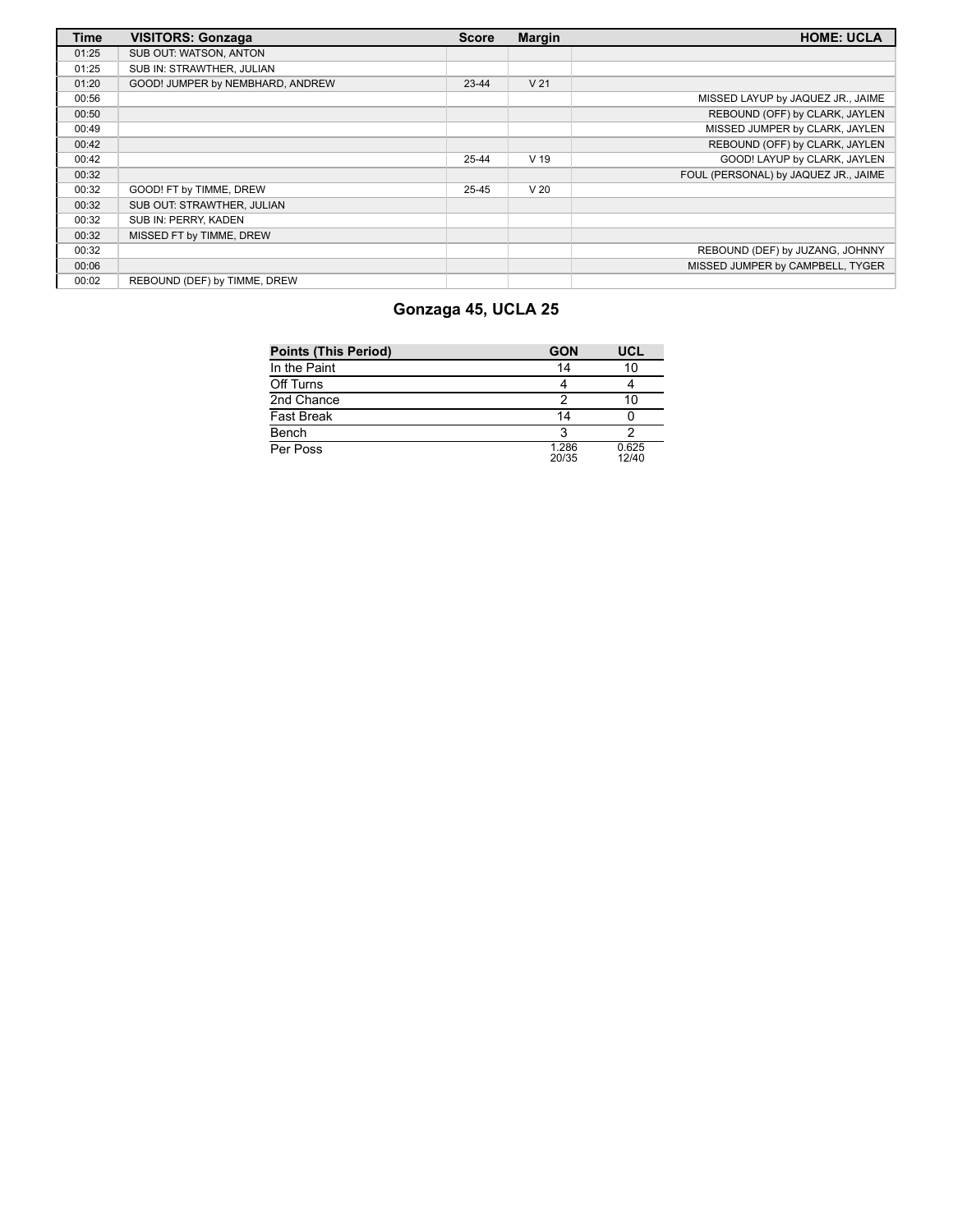| <b>Time</b> | <b>VISITORS: Gonzaga</b>         | <b>Score</b> | <b>Margin</b>   | <b>HOME: UCLA</b>                    |
|-------------|----------------------------------|--------------|-----------------|--------------------------------------|
| 01:25       | SUB OUT: WATSON, ANTON           |              |                 |                                      |
| 01:25       | SUB IN: STRAWTHER, JULIAN        |              |                 |                                      |
| 01:20       | GOOD! JUMPER by NEMBHARD, ANDREW | $23 - 44$    | V <sub>21</sub> |                                      |
| 00:56       |                                  |              |                 | MISSED LAYUP by JAQUEZ JR., JAIME    |
| 00:50       |                                  |              |                 | REBOUND (OFF) by CLARK, JAYLEN       |
| 00:49       |                                  |              |                 | MISSED JUMPER by CLARK, JAYLEN       |
| 00:42       |                                  |              |                 | REBOUND (OFF) by CLARK, JAYLEN       |
| 00:42       |                                  | 25-44        | V <sub>19</sub> | GOOD! LAYUP by CLARK, JAYLEN         |
| 00:32       |                                  |              |                 | FOUL (PERSONAL) by JAQUEZ JR., JAIME |
| 00:32       | GOOD! FT by TIMME, DREW          | 25-45        | V <sub>20</sub> |                                      |
| 00:32       | SUB OUT: STRAWTHER, JULIAN       |              |                 |                                      |
| 00:32       | SUB IN: PERRY, KADEN             |              |                 |                                      |
| 00:32       | MISSED FT by TIMME, DREW         |              |                 |                                      |
| 00:32       |                                  |              |                 | REBOUND (DEF) by JUZANG, JOHNNY      |
| 00:06       |                                  |              |                 | MISSED JUMPER by CAMPBELL, TYGER     |
| 00:02       | REBOUND (DEF) by TIMME, DREW     |              |                 |                                      |

# **Gonzaga 45, UCLA 25**

| <b>Points (This Period)</b> | <b>GON</b>     | <b>UCL</b>     |
|-----------------------------|----------------|----------------|
| In the Paint                | 14             | 10             |
| Off Turns                   |                |                |
| 2nd Chance                  | っ              | 10             |
| Fast Break                  | 14             |                |
| Bench                       | ર              |                |
| Per Poss                    | 1.286<br>20/35 | 0.625<br>12/40 |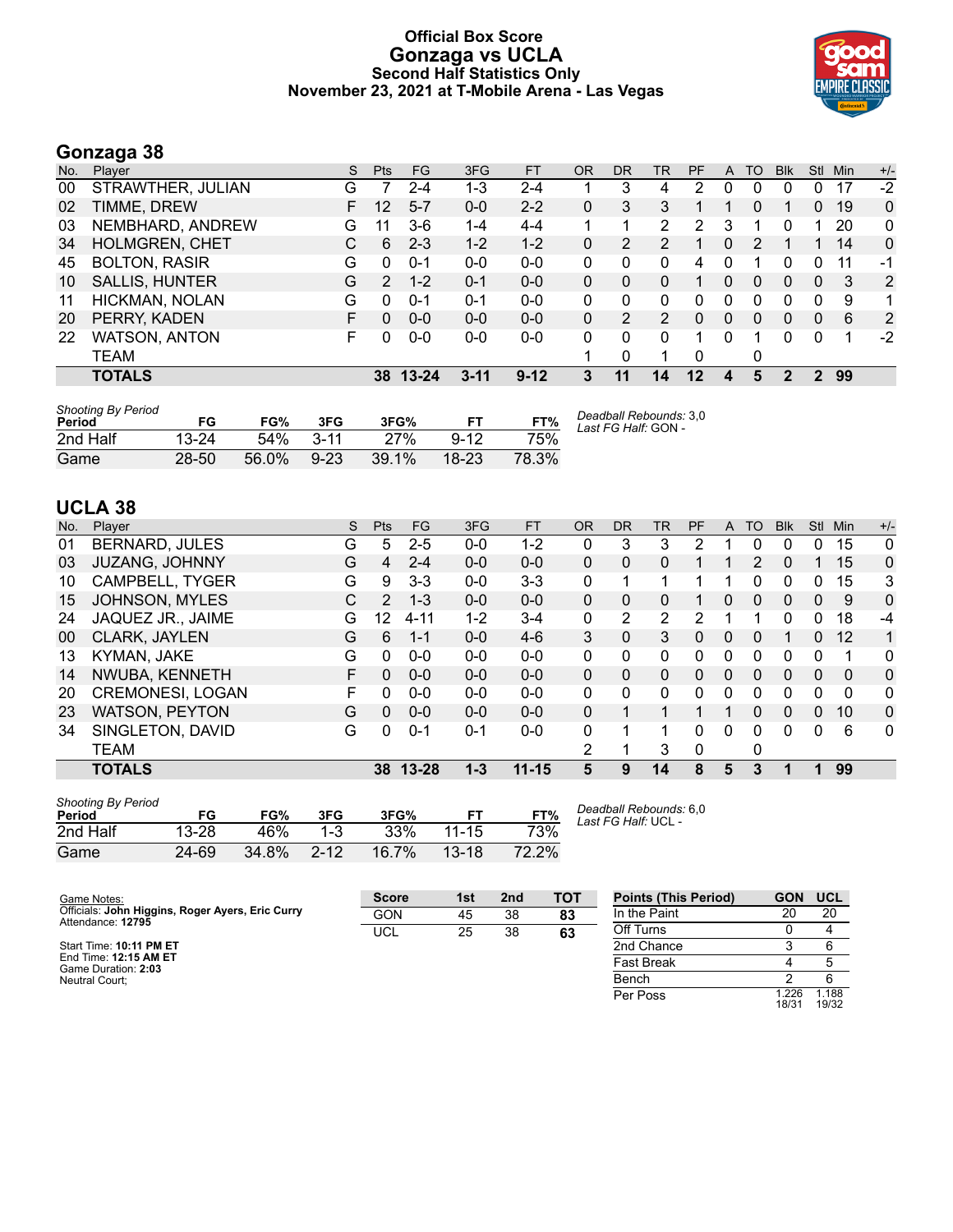#### **Official Box Score Gonzaga vs UCLA Second Half Statistics Only November 23, 2021 at T-Mobile Arena - Las Vegas**



# **Gonzaga 38**

| No. | Player                | S | <b>Pts</b>    | <b>FG</b> | 3FG      | <b>FT</b> | <b>OR</b> | DR            | TR | PF | A        | TO       | <b>B</b> lk | Stl      | Min | $+/-$        |
|-----|-----------------------|---|---------------|-----------|----------|-----------|-----------|---------------|----|----|----------|----------|-------------|----------|-----|--------------|
| 00  | STRAWTHER, JULIAN     | G |               | 2-4       | 1-3      | 2-4       |           | 3             | 4  | 2  | 0        | 0        | 0           | 0        | 17  | $-2$         |
| 02  | TIMME, DREW           | F | 12            | $5 - 7$   | $0 - 0$  | $2 - 2$   | 0         | 3             | 3  |    |          | 0        |             | 0        | 19  | $\mathbf 0$  |
| 03  | NEMBHARD, ANDREW      | G | 11            | $3-6$     | $1 - 4$  | $4 - 4$   |           |               | 2  | 2  | 3        |          | 0           |          | 20  | 0            |
| 34  | <b>HOLMGREN, CHET</b> | С | 6             | $2 - 3$   | $1 - 2$  | $1 - 2$   | $\Omega$  | 2             | 2  |    | $\Omega$ | 2        |             |          | 14  | $\mathbf{0}$ |
| 45  | <b>BOLTON, RASIR</b>  | G | 0             | $0 - 1$   | $0 - 0$  | $0 - 0$   | 0         | 0             | 0  | 4  |          |          |             | 0        | 11  | -1           |
| 10  | <b>SALLIS, HUNTER</b> | G | $\mathcal{P}$ | $1 - 2$   | $0 - 1$  | $0 - 0$   | $\Omega$  | 0             | 0  |    | 0        | 0        | 0           | $\Omega$ | -3  | 2            |
| 11  | HICKMAN, NOLAN        | G | 0             | $0 - 1$   | $0 - 1$  | $0-0$     | 0         | 0             | 0  | 0  | 0        | 0        | 0           | 0        | 9   | 1            |
| 20  | PERRY, KADEN          | F | 0             | $0 - 0$   | $0 - 0$  | $0 - 0$   | $\Omega$  | $\mathcal{P}$ | 2  | 0  | $\Omega$ | $\Omega$ | 0           | $\Omega$ | 6   | 2            |
| 22  | <b>WATSON, ANTON</b>  | F | 0             | $0 - 0$   | $0-0$    | $0-0$     | 0         | 0             | 0  |    | $\Omega$ |          | 0           | 0        |     | $-2$         |
|     | TEAM                  |   |               |           |          |           |           | 0             | 1  | 0  |          | 0        |             |          |     |              |
|     | <b>TOTALS</b>         |   | 38            | 13-24     | $3 - 11$ | $9 - 12$  | 3         | 11            | 14 | 12 | 4        | 5        | 2           | 2        | 99  |              |

| <b>Shooting By Period</b><br>Period | FG.       | FG%   | 3FG      | 3FG%  |          | FT%   | Deadball Rebounds: 3,0<br>Last FG Half: GON - |
|-------------------------------------|-----------|-------|----------|-------|----------|-------|-----------------------------------------------|
| 2nd Half                            | $13 - 24$ | 54%   | $3 - 11$ | 27%   | $9 - 12$ | 75%   |                                               |
| Game                                | $28 - 50$ | 56.0% | $9 - 23$ | 39.1% | $18-23$  | 78.3% |                                               |

# **UCLA 38**

| No. | Player                 | S | Pts      | FG       | 3FG     | <b>FT</b> | <b>OR</b>    | <b>DR</b> | TR             | PF | A        | TO | <b>Blk</b> | <b>Stl</b>   | Min      | $+/-$ |
|-----|------------------------|---|----------|----------|---------|-----------|--------------|-----------|----------------|----|----------|----|------------|--------------|----------|-------|
| 01  | <b>BERNARD, JULES</b>  | G | 5        | $2 - 5$  | $0 - 0$ | 1-2       | 0            | 3         | 3              | 2  |          | 0  | 0          | 0            | 15       | 0     |
| 03  | <b>JUZANG, JOHNNY</b>  | G | 4        | $2 - 4$  | $0 - 0$ | $0-0$     | $\mathbf{0}$ | $\Omega$  | 0              |    |          | 2  | 0          |              | 15       | 0     |
| 10  | <b>CAMPBELL, TYGER</b> | G | 9        | $3 - 3$  | $0 - 0$ | $3 - 3$   | 0            |           |                |    |          | 0  | 0          | 0            | 15       | 3     |
| 15  | <b>JOHNSON, MYLES</b>  | С | 2        | $1 - 3$  | $0 - 0$ | $0 - 0$   | $\Omega$     | 0         | 0              |    | $\Omega$ | 0  | 0          | $\Omega$     | 9        | 0     |
| 24  | JAQUEZ JR., JAIME      | G | 12       | $4 - 11$ | 1-2     | $3 - 4$   | 0            | 2         | $\overline{2}$ | 2  |          |    | 0          | 0            | 18       | -4    |
| 00  | CLARK, JAYLEN          | G | 6        | $1 - 1$  | $0 - 0$ | $4-6$     | 3            | 0         | 3              | 0  | $\Omega$ | 0  |            | $\Omega$     | 12       | 1     |
| 13  | KYMAN, JAKE            | G | 0        | $0 - 0$  | $0 - 0$ | $0 - 0$   | $\Omega$     | 0         | 0              | 0  | $\Omega$ | 0  | 0          | 0            | 1        | 0     |
| 14  | NWUBA, KENNETH         | F | $\Omega$ | $0 - 0$  | $0 - 0$ | $0 - 0$   | $\Omega$     | 0         | 0              | 0  | $\Omega$ | 0  | 0          | $\mathbf{0}$ | 0        | 0     |
| 20  | CREMONESI, LOGAN       | F | 0        | $0 - 0$  | $0 - 0$ | $0-0$     | $\Omega$     | 0         | 0              | 0  | 0        | 0  | 0          | 0            | $\Omega$ | 0     |
| 23  | <b>WATSON, PEYTON</b>  | G | 0        | $0 - 0$  | $0 - 0$ | $0 - 0$   | $\Omega$     |           |                |    |          | 0  | 0          | $\Omega$     | 10       | 0     |
| 34  | SINGLETON, DAVID       | G | 0        | $0 - 1$  | $0 - 1$ | $0 - 0$   | $\Omega$     |           | 1              | 0  | $\Omega$ | 0  | 0          | 0            | 6        | 0     |
|     | <b>TEAM</b>            |   |          |          |         |           | 2            |           | 3              | 0  |          | 0  |            |              |          |       |
|     | <b>TOTALS</b>          |   |          | 38 13-28 | $1 - 3$ | $11 - 15$ | 5            | 9         | 14             | 8  | 5        | 3  |            | 1            | 99       |       |
|     |                        |   |          |          |         |           |              |           |                |    |          |    |            |              |          |       |

| <b>Shooting By Period</b><br>Period | FG    | FG%   | 3FG      | 3FG%  |           | FT%   |
|-------------------------------------|-------|-------|----------|-------|-----------|-------|
| 2nd Half                            | 13-28 | 46%   | $1 - 3$  | 33%   | $11 - 15$ | 73%   |
| Game                                | 24-69 | 34.8% | $2 - 12$ | 16.7% | $13-18$   | 72.2% |

*Deadball Rebounds:* 6,0 *Last FG Half:* UCL -

| Game Notes:                                                           | <b>Score</b> | 1st | 2 <sub>nd</sub> | тот | <b>Points (This Period)</b> | <b>GON</b>    | <b>UCL</b>     |
|-----------------------------------------------------------------------|--------------|-----|-----------------|-----|-----------------------------|---------------|----------------|
| Officials: John Higgins, Roger Ayers, Eric Curry<br>Attendance: 12795 | <b>GON</b>   | 45  | 38              | 83  | In the Paint                | 20            | 20             |
|                                                                       | <b>UCL</b>   | 25  | 38              | 63  | Off Turns                   |               |                |
| Start Time: 10:11 PM ET                                               |              |     |                 |     | 2nd Chance                  |               |                |
| End Time: 12:15 AM ET<br>Game Duration: 2:03                          |              |     |                 |     | <b>Fast Break</b>           |               |                |
| Neutral Court:                                                        |              |     |                 |     | Bench                       |               |                |
|                                                                       |              |     |                 |     | Per Poss                    | .226<br>18/31 | 1.188<br>19/32 |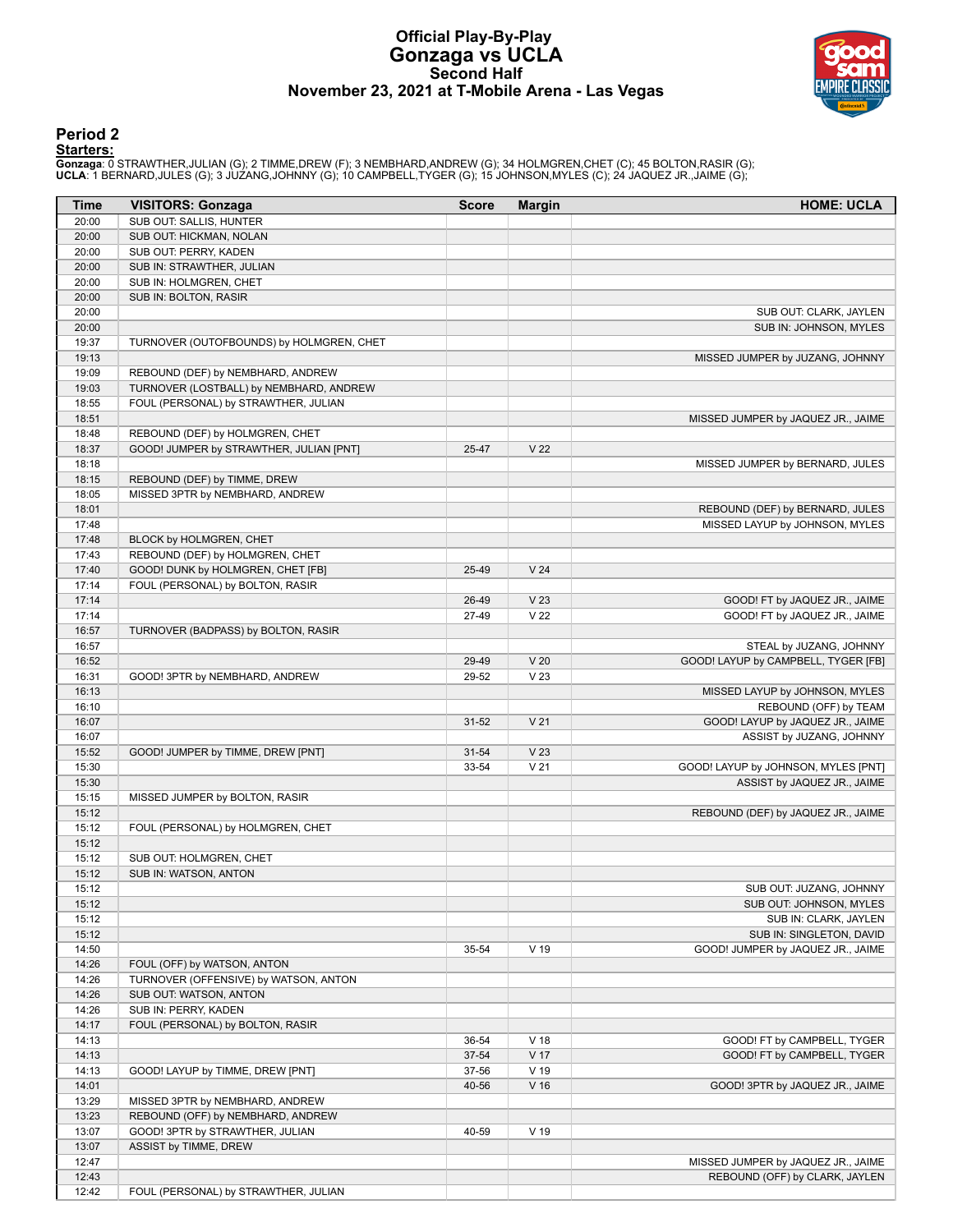# **Official Play-By-Play Gonzaga vs UCLA Second Half November 23, 2021 at T-Mobile Arena - Las Vegas**



### **Period 2**

#### **Starters:**

**Gonzaga**: 0 STRAWTHER,JULIAN (G); 2 TIMME,DREW (F); 3 NEMBHARD,ANDREW (G); 34 HOLMGREN,CHET (C); 45 BOLTON,RASIR (G);<br>**UCLA**: 1 BERNARD,JULES (G); 3 JUZANG,JOHNNY (G); 10 CAMPBELL,TYGER (G); 15 JOHNSON,MYLES (C); 24 JAQUE

| Time  | <b>VISITORS: Gonzaga</b>                 | <b>Score</b> | <b>Margin</b>   | <b>HOME: UCLA</b>                   |
|-------|------------------------------------------|--------------|-----------------|-------------------------------------|
| 20:00 | SUB OUT: SALLIS, HUNTER                  |              |                 |                                     |
| 20:00 | SUB OUT: HICKMAN, NOLAN                  |              |                 |                                     |
| 20:00 | SUB OUT: PERRY, KADEN                    |              |                 |                                     |
| 20:00 | SUB IN: STRAWTHER, JULIAN                |              |                 |                                     |
| 20:00 | SUB IN: HOLMGREN, CHET                   |              |                 |                                     |
| 20:00 | SUB IN: BOLTON, RASIR                    |              |                 |                                     |
| 20:00 |                                          |              |                 | SUB OUT: CLARK, JAYLEN              |
| 20:00 |                                          |              |                 | SUB IN: JOHNSON, MYLES              |
| 19:37 | TURNOVER (OUTOFBOUNDS) by HOLMGREN, CHET |              |                 |                                     |
| 19:13 |                                          |              |                 | MISSED JUMPER by JUZANG, JOHNNY     |
| 19:09 | REBOUND (DEF) by NEMBHARD, ANDREW        |              |                 |                                     |
| 19:03 | TURNOVER (LOSTBALL) by NEMBHARD, ANDREW  |              |                 |                                     |
| 18:55 | FOUL (PERSONAL) by STRAWTHER, JULIAN     |              |                 |                                     |
| 18:51 |                                          |              |                 | MISSED JUMPER by JAQUEZ JR., JAIME  |
| 18:48 | REBOUND (DEF) by HOLMGREN, CHET          |              |                 |                                     |
| 18:37 | GOOD! JUMPER by STRAWTHER, JULIAN [PNT]  | 25-47        | V <sub>22</sub> |                                     |
| 18:18 |                                          |              |                 | MISSED JUMPER by BERNARD, JULES     |
| 18:15 | REBOUND (DEF) by TIMME, DREW             |              |                 |                                     |
| 18:05 | MISSED 3PTR by NEMBHARD, ANDREW          |              |                 |                                     |
| 18:01 |                                          |              |                 | REBOUND (DEF) by BERNARD, JULES     |
| 17:48 |                                          |              |                 | MISSED LAYUP by JOHNSON, MYLES      |
| 17:48 | BLOCK by HOLMGREN, CHET                  |              |                 |                                     |
| 17:43 | REBOUND (DEF) by HOLMGREN, CHET          |              |                 |                                     |
| 17:40 | GOOD! DUNK by HOLMGREN, CHET [FB]        | 25-49        | V <sub>24</sub> |                                     |
| 17:14 | FOUL (PERSONAL) by BOLTON, RASIR         |              |                 |                                     |
| 17:14 |                                          | 26-49        | V <sub>23</sub> | GOOD! FT by JAQUEZ JR., JAIME       |
| 17:14 |                                          | 27-49        | V <sub>22</sub> | GOOD! FT by JAQUEZ JR., JAIME       |
| 16:57 | TURNOVER (BADPASS) by BOLTON, RASIR      |              |                 |                                     |
| 16:57 |                                          |              |                 | STEAL by JUZANG, JOHNNY             |
| 16:52 |                                          | 29-49        | V <sub>20</sub> | GOOD! LAYUP by CAMPBELL, TYGER [FB] |
| 16:31 | GOOD! 3PTR by NEMBHARD, ANDREW           | 29-52        | V <sub>23</sub> |                                     |
| 16:13 |                                          |              |                 | MISSED LAYUP by JOHNSON, MYLES      |
| 16:10 |                                          |              |                 | REBOUND (OFF) by TEAM               |
| 16:07 |                                          | $31 - 52$    | V <sub>21</sub> | GOOD! LAYUP by JAQUEZ JR., JAIME    |
| 16:07 |                                          |              |                 | ASSIST by JUZANG, JOHNNY            |
| 15:52 | GOOD! JUMPER by TIMME, DREW [PNT]        | $31 - 54$    | V <sub>23</sub> |                                     |
| 15:30 |                                          | 33-54        | V <sub>21</sub> | GOOD! LAYUP by JOHNSON, MYLES [PNT] |
| 15:30 |                                          |              |                 | ASSIST by JAQUEZ JR., JAIME         |
| 15:15 | MISSED JUMPER by BOLTON, RASIR           |              |                 |                                     |
| 15:12 |                                          |              |                 | REBOUND (DEF) by JAQUEZ JR., JAIME  |
| 15:12 | FOUL (PERSONAL) by HOLMGREN, CHET        |              |                 |                                     |
| 15:12 |                                          |              |                 |                                     |
| 15:12 | SUB OUT: HOLMGREN, CHET                  |              |                 |                                     |
| 15:12 | SUB IN: WATSON, ANTON                    |              |                 |                                     |
| 15:12 |                                          |              |                 | SUB OUT: JUZANG, JOHNNY             |
| 15:12 |                                          |              |                 | SUB OUT: JOHNSON, MYLES             |
| 15:12 |                                          |              |                 | SUB IN: CLARK, JAYLEN               |
| 15:12 |                                          |              |                 | SUB IN: SINGLETON, DAVID            |
| 14:50 |                                          | 35-54        | $V$ 19          | GOOD! JUMPER by JAQUEZ JR., JAIME   |
| 14:26 | FOUL (OFF) by WATSON, ANTON              |              |                 |                                     |
| 14:26 | TURNOVER (OFFENSIVE) by WATSON, ANTON    |              |                 |                                     |
| 14:26 | SUB OUT: WATSON, ANTON                   |              |                 |                                     |
| 14:26 | SUB IN: PERRY, KADEN                     |              |                 |                                     |
| 14:17 | FOUL (PERSONAL) by BOLTON, RASIR         |              |                 |                                     |
| 14:13 |                                          | 36-54        | V <sub>18</sub> | GOOD! FT by CAMPBELL, TYGER         |
| 14:13 |                                          | 37-54        | V 17            | GOOD! FT by CAMPBELL, TYGER         |
| 14:13 | GOOD! LAYUP by TIMME, DREW [PNT]         | 37-56        | $V$ 19          |                                     |
| 14:01 |                                          | 40-56        | V <sub>16</sub> | GOOD! 3PTR by JAQUEZ JR., JAIME     |
| 13:29 | MISSED 3PTR by NEMBHARD, ANDREW          |              |                 |                                     |
| 13:23 | REBOUND (OFF) by NEMBHARD, ANDREW        |              |                 |                                     |
| 13:07 | GOOD! 3PTR by STRAWTHER, JULIAN          | 40-59        | $V$ 19          |                                     |
| 13:07 | ASSIST by TIMME, DREW                    |              |                 |                                     |
| 12:47 |                                          |              |                 | MISSED JUMPER by JAQUEZ JR., JAIME  |
| 12:43 |                                          |              |                 | REBOUND (OFF) by CLARK, JAYLEN      |
| 12:42 | FOUL (PERSONAL) by STRAWTHER, JULIAN     |              |                 |                                     |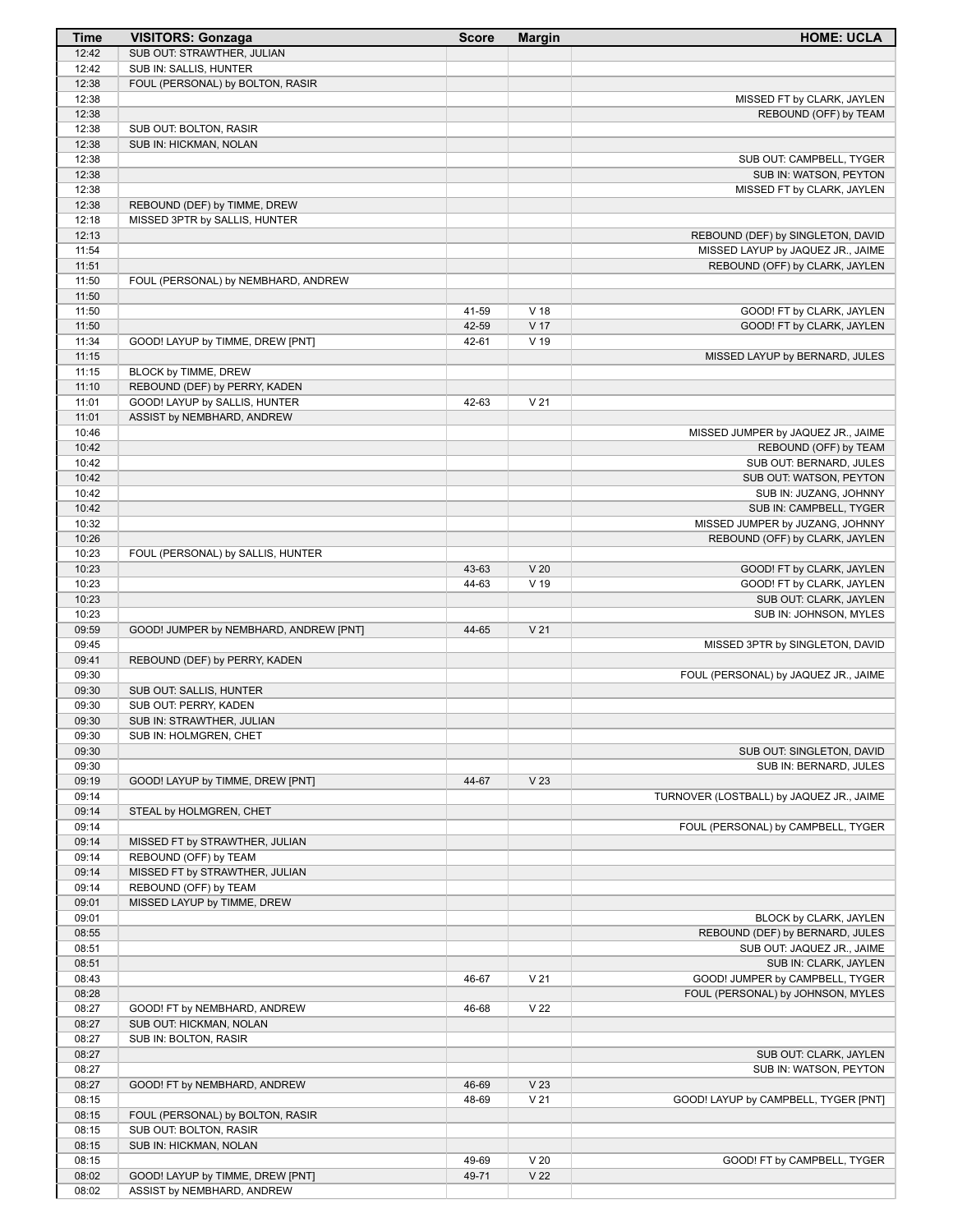| <b>Time</b>    | <b>VISITORS: Gonzaga</b>                           | <b>Score</b> | <b>Margin</b>   | <b>HOME: UCLA</b>                                  |
|----------------|----------------------------------------------------|--------------|-----------------|----------------------------------------------------|
| 12:42          | SUB OUT: STRAWTHER, JULIAN                         |              |                 |                                                    |
| 12:42          | SUB IN: SALLIS, HUNTER                             |              |                 |                                                    |
| 12:38          | FOUL (PERSONAL) by BOLTON, RASIR                   |              |                 |                                                    |
| 12:38          |                                                    |              |                 | MISSED FT by CLARK, JAYLEN                         |
| 12:38          |                                                    |              |                 | REBOUND (OFF) by TEAM                              |
| 12:38          | SUB OUT: BOLTON, RASIR                             |              |                 |                                                    |
| 12:38          | SUB IN: HICKMAN, NOLAN                             |              |                 |                                                    |
| 12:38<br>12:38 |                                                    |              |                 | SUB OUT: CAMPBELL, TYGER<br>SUB IN: WATSON, PEYTON |
| 12:38          |                                                    |              |                 | MISSED FT by CLARK, JAYLEN                         |
| 12:38          | REBOUND (DEF) by TIMME, DREW                       |              |                 |                                                    |
| 12:18          | MISSED 3PTR by SALLIS, HUNTER                      |              |                 |                                                    |
| 12:13          |                                                    |              |                 | REBOUND (DEF) by SINGLETON, DAVID                  |
| 11:54          |                                                    |              |                 | MISSED LAYUP by JAQUEZ JR., JAIME                  |
| 11:51          |                                                    |              |                 | REBOUND (OFF) by CLARK, JAYLEN                     |
| 11:50          | FOUL (PERSONAL) by NEMBHARD, ANDREW                |              |                 |                                                    |
| 11:50          |                                                    |              |                 |                                                    |
| 11:50          |                                                    | 41-59        | V <sub>18</sub> | GOOD! FT by CLARK, JAYLEN                          |
| 11:50          |                                                    | 42-59        | V <sub>17</sub> | GOOD! FT by CLARK, JAYLEN                          |
| 11:34          | GOOD! LAYUP by TIMME, DREW [PNT]                   | 42-61        | V <sub>19</sub> |                                                    |
| 11:15          |                                                    |              |                 | MISSED LAYUP by BERNARD, JULES                     |
| 11:15          | BLOCK by TIMME, DREW                               |              |                 |                                                    |
| 11:10          | REBOUND (DEF) by PERRY, KADEN                      |              |                 |                                                    |
| 11:01          | GOOD! LAYUP by SALLIS, HUNTER                      | 42-63        | V <sub>21</sub> |                                                    |
| 11:01          | ASSIST by NEMBHARD, ANDREW                         |              |                 |                                                    |
| 10:46          |                                                    |              |                 | MISSED JUMPER by JAQUEZ JR., JAIME                 |
| 10:42          |                                                    |              |                 | REBOUND (OFF) by TEAM                              |
| 10:42          |                                                    |              |                 | SUB OUT: BERNARD, JULES                            |
| 10:42          |                                                    |              |                 | SUB OUT: WATSON, PEYTON                            |
| 10:42          |                                                    |              |                 | SUB IN: JUZANG, JOHNNY                             |
| 10:42          |                                                    |              |                 | SUB IN: CAMPBELL, TYGER                            |
| 10:32          |                                                    |              |                 | MISSED JUMPER by JUZANG, JOHNNY                    |
| 10:26          |                                                    |              |                 | REBOUND (OFF) by CLARK, JAYLEN                     |
| 10:23          | FOUL (PERSONAL) by SALLIS, HUNTER                  |              |                 |                                                    |
| 10:23          |                                                    | 43-63        | V <sub>20</sub> | GOOD! FT by CLARK, JAYLEN                          |
| 10:23          |                                                    | 44-63        | V <sub>19</sub> | GOOD! FT by CLARK, JAYLEN                          |
| 10:23          |                                                    |              |                 | SUB OUT: CLARK, JAYLEN                             |
| 10:23          |                                                    |              |                 | SUB IN: JOHNSON, MYLES                             |
| 09:59          | GOOD! JUMPER by NEMBHARD, ANDREW [PNT]             | 44-65        | V <sub>21</sub> |                                                    |
| 09:45          |                                                    |              |                 | MISSED 3PTR by SINGLETON, DAVID                    |
| 09:41          | REBOUND (DEF) by PERRY, KADEN                      |              |                 |                                                    |
| 09:30          |                                                    |              |                 | FOUL (PERSONAL) by JAQUEZ JR., JAIME               |
| 09:30<br>09:30 | SUB OUT: SALLIS, HUNTER                            |              |                 |                                                    |
| 09:30          | SUB OUT: PERRY, KADEN<br>SUB IN: STRAWTHER, JULIAN |              |                 |                                                    |
| 09:30          | SUB IN: HOLMGREN, CHET                             |              |                 |                                                    |
| 09:30          |                                                    |              |                 | SUB OUT: SINGLETON, DAVID                          |
| 09:30          |                                                    |              |                 | SUB IN: BERNARD, JULES                             |
| 09:19          | GOOD! LAYUP by TIMME, DREW [PNT]                   | 44-67        | V <sub>23</sub> |                                                    |
| 09:14          |                                                    |              |                 | TURNOVER (LOSTBALL) by JAQUEZ JR., JAIME           |
| 09:14          | STEAL by HOLMGREN, CHET                            |              |                 |                                                    |
| 09:14          |                                                    |              |                 | FOUL (PERSONAL) by CAMPBELL, TYGER                 |
| 09:14          | MISSED FT by STRAWTHER, JULIAN                     |              |                 |                                                    |
| 09:14          | REBOUND (OFF) by TEAM                              |              |                 |                                                    |
| 09:14          | MISSED FT by STRAWTHER, JULIAN                     |              |                 |                                                    |
| 09:14          | REBOUND (OFF) by TEAM                              |              |                 |                                                    |
| 09:01          | MISSED LAYUP by TIMME, DREW                        |              |                 |                                                    |
| 09:01          |                                                    |              |                 | BLOCK by CLARK, JAYLEN                             |
| 08:55          |                                                    |              |                 | REBOUND (DEF) by BERNARD, JULES                    |
| 08:51          |                                                    |              |                 | SUB OUT: JAQUEZ JR., JAIME                         |
| 08:51          |                                                    |              |                 | SUB IN: CLARK, JAYLEN                              |
| 08:43          |                                                    | 46-67        | V <sub>21</sub> | GOOD! JUMPER by CAMPBELL, TYGER                    |
| 08:28          |                                                    |              |                 | FOUL (PERSONAL) by JOHNSON, MYLES                  |
| 08:27          | GOOD! FT by NEMBHARD, ANDREW                       | 46-68        | V <sub>22</sub> |                                                    |
| 08:27          | SUB OUT: HICKMAN, NOLAN                            |              |                 |                                                    |
| 08:27          | SUB IN: BOLTON, RASIR                              |              |                 |                                                    |
| 08:27          |                                                    |              |                 | SUB OUT: CLARK, JAYLEN                             |
| 08:27          |                                                    |              |                 | SUB IN: WATSON, PEYTON                             |
| 08:27          | GOOD! FT by NEMBHARD, ANDREW                       | 46-69        | V <sub>23</sub> |                                                    |
| 08:15          |                                                    | 48-69        | V <sub>21</sub> | GOOD! LAYUP by CAMPBELL, TYGER [PNT]               |
| 08:15          | FOUL (PERSONAL) by BOLTON, RASIR                   |              |                 |                                                    |
| 08:15          | SUB OUT: BOLTON, RASIR                             |              |                 |                                                    |
| 08:15          | SUB IN: HICKMAN, NOLAN                             |              |                 |                                                    |
| 08:15          |                                                    | 49-69        | V <sub>20</sub> | GOOD! FT by CAMPBELL, TYGER                        |
| 08:02          | GOOD! LAYUP by TIMME, DREW [PNT]                   | 49-71        | V <sub>22</sub> |                                                    |
| 08:02          | ASSIST by NEMBHARD, ANDREW                         |              |                 |                                                    |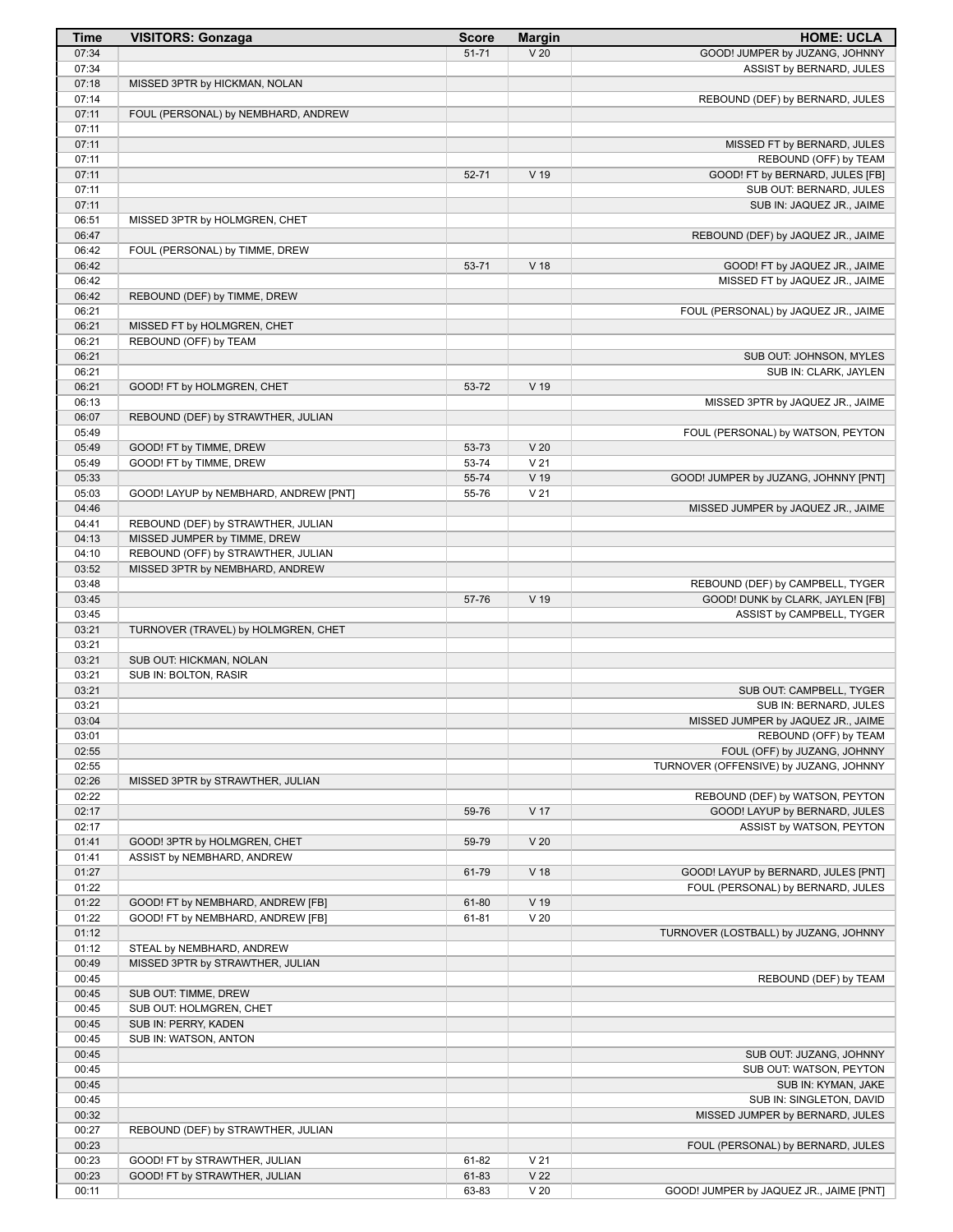| Time           | <b>VISITORS: Gonzaga</b>              | <b>Score</b> | <b>Margin</b>   | <b>HOME: UCLA</b>                                           |
|----------------|---------------------------------------|--------------|-----------------|-------------------------------------------------------------|
| 07:34          |                                       | $51 - 71$    | V <sub>20</sub> | GOOD! JUMPER by JUZANG, JOHNNY                              |
| 07:34          |                                       |              |                 | ASSIST by BERNARD, JULES                                    |
| 07:18          | MISSED 3PTR by HICKMAN, NOLAN         |              |                 |                                                             |
| 07:14<br>07:11 | FOUL (PERSONAL) by NEMBHARD, ANDREW   |              |                 | REBOUND (DEF) by BERNARD, JULES                             |
| 07:11          |                                       |              |                 |                                                             |
| 07:11          |                                       |              |                 | MISSED FT by BERNARD, JULES                                 |
| 07:11          |                                       |              |                 | REBOUND (OFF) by TEAM                                       |
| 07:11          |                                       | 52-71        | V 19            | GOOD! FT by BERNARD, JULES [FB]                             |
| 07:11          |                                       |              |                 | SUB OUT: BERNARD, JULES                                     |
| 07:11          |                                       |              |                 | SUB IN: JAQUEZ JR., JAIME                                   |
| 06:51          | MISSED 3PTR by HOLMGREN, CHET         |              |                 |                                                             |
| 06:47<br>06:42 | FOUL (PERSONAL) by TIMME, DREW        |              |                 | REBOUND (DEF) by JAQUEZ JR., JAIME                          |
| 06:42          |                                       | 53-71        | V <sub>18</sub> | GOOD! FT by JAQUEZ JR., JAIME                               |
| 06:42          |                                       |              |                 | MISSED FT by JAQUEZ JR., JAIME                              |
| 06:42          | REBOUND (DEF) by TIMME, DREW          |              |                 |                                                             |
| 06:21          |                                       |              |                 | FOUL (PERSONAL) by JAQUEZ JR., JAIME                        |
| 06:21          | MISSED FT by HOLMGREN, CHET           |              |                 |                                                             |
| 06:21          | REBOUND (OFF) by TEAM                 |              |                 |                                                             |
| 06:21          |                                       |              |                 | SUB OUT: JOHNSON, MYLES                                     |
| 06:21<br>06:21 | GOOD! FT by HOLMGREN, CHET            | 53-72        | V <sub>19</sub> | SUB IN: CLARK, JAYLEN                                       |
| 06:13          |                                       |              |                 | MISSED 3PTR by JAQUEZ JR., JAIME                            |
| 06:07          | REBOUND (DEF) by STRAWTHER, JULIAN    |              |                 |                                                             |
| 05:49          |                                       |              |                 | FOUL (PERSONAL) by WATSON, PEYTON                           |
| 05:49          | GOOD! FT by TIMME, DREW               | 53-73        | V <sub>20</sub> |                                                             |
| 05:49          | GOOD! FT by TIMME, DREW               | 53-74        | V <sub>21</sub> |                                                             |
| 05:33          |                                       | 55-74        | V 19            | GOOD! JUMPER by JUZANG, JOHNNY [PNT]                        |
| 05:03<br>04:46 | GOOD! LAYUP by NEMBHARD, ANDREW [PNT] | 55-76        | V <sub>21</sub> |                                                             |
| 04:41          | REBOUND (DEF) by STRAWTHER, JULIAN    |              |                 | MISSED JUMPER by JAQUEZ JR., JAIME                          |
| 04:13          | MISSED JUMPER by TIMME, DREW          |              |                 |                                                             |
| 04:10          | REBOUND (OFF) by STRAWTHER, JULIAN    |              |                 |                                                             |
| 03:52          | MISSED 3PTR by NEMBHARD, ANDREW       |              |                 |                                                             |
| 03:48          |                                       |              |                 | REBOUND (DEF) by CAMPBELL, TYGER                            |
| 03:45          |                                       | 57-76        | V 19            | GOOD! DUNK by CLARK, JAYLEN [FB]                            |
| 03:45          | TURNOVER (TRAVEL) by HOLMGREN, CHET   |              |                 | ASSIST by CAMPBELL, TYGER                                   |
| 03:21<br>03:21 |                                       |              |                 |                                                             |
| 03:21          | SUB OUT: HICKMAN, NOLAN               |              |                 |                                                             |
| 03:21          | SUB IN: BOLTON, RASIR                 |              |                 |                                                             |
| 03:21          |                                       |              |                 | SUB OUT: CAMPBELL, TYGER                                    |
| 03:21          |                                       |              |                 | SUB IN: BERNARD, JULES                                      |
| 03:04          |                                       |              |                 | MISSED JUMPER by JAQUEZ JR., JAIME<br>REBOUND (OFF) by TEAM |
| 03:01<br>02:55 |                                       |              |                 | FOUL (OFF) by JUZANG, JOHNNY                                |
| 02:55          |                                       |              |                 | TURNOVER (OFFENSIVE) by JUZANG, JOHNNY                      |
| 02:26          | MISSED 3PTR by STRAWTHER, JULIAN      |              |                 |                                                             |
| 02:22          |                                       |              |                 | REBOUND (DEF) by WATSON, PEYTON                             |
| 02:17          |                                       | 59-76        | V 17            | GOOD! LAYUP by BERNARD, JULES                               |
| 02:17          |                                       |              |                 | ASSIST by WATSON, PEYTON                                    |
| 01:41          | GOOD! 3PTR by HOLMGREN, CHET          | 59-79        | V <sub>20</sub> |                                                             |
| 01:41<br>01:27 | ASSIST by NEMBHARD, ANDREW            | 61-79        | V <sub>18</sub> | GOOD! LAYUP by BERNARD, JULES [PNT]                         |
| 01:22          |                                       |              |                 | FOUL (PERSONAL) by BERNARD, JULES                           |
| 01:22          | GOOD! FT by NEMBHARD, ANDREW [FB]     | 61-80        | V 19            |                                                             |
| 01:22          | GOOD! FT by NEMBHARD, ANDREW [FB]     | 61-81        | V <sub>20</sub> |                                                             |
| 01:12          |                                       |              |                 | TURNOVER (LOSTBALL) by JUZANG, JOHNNY                       |
| 01:12          | STEAL by NEMBHARD, ANDREW             |              |                 |                                                             |
| 00:49          | MISSED 3PTR by STRAWTHER, JULIAN      |              |                 |                                                             |
| 00:45<br>00:45 | SUB OUT: TIMME, DREW                  |              |                 | REBOUND (DEF) by TEAM                                       |
| 00:45          | SUB OUT: HOLMGREN, CHET               |              |                 |                                                             |
| 00:45          | SUB IN: PERRY, KADEN                  |              |                 |                                                             |
| 00:45          | SUB IN: WATSON, ANTON                 |              |                 |                                                             |
| 00:45          |                                       |              |                 | SUB OUT: JUZANG, JOHNNY                                     |
| 00:45          |                                       |              |                 | SUB OUT: WATSON, PEYTON                                     |
| 00:45<br>00:45 |                                       |              |                 | SUB IN: KYMAN, JAKE<br>SUB IN: SINGLETON, DAVID             |
| 00:32          |                                       |              |                 | MISSED JUMPER by BERNARD, JULES                             |
| 00:27          | REBOUND (DEF) by STRAWTHER, JULIAN    |              |                 |                                                             |
| 00:23          |                                       |              |                 | FOUL (PERSONAL) by BERNARD, JULES                           |
| 00:23          | GOOD! FT by STRAWTHER, JULIAN         | 61-82        | V <sub>21</sub> |                                                             |
| 00:23          | GOOD! FT by STRAWTHER, JULIAN         | 61-83        | V <sub>22</sub> |                                                             |
| 00:11          |                                       | 63-83        | V <sub>20</sub> | GOOD! JUMPER by JAQUEZ JR., JAIME [PNT]                     |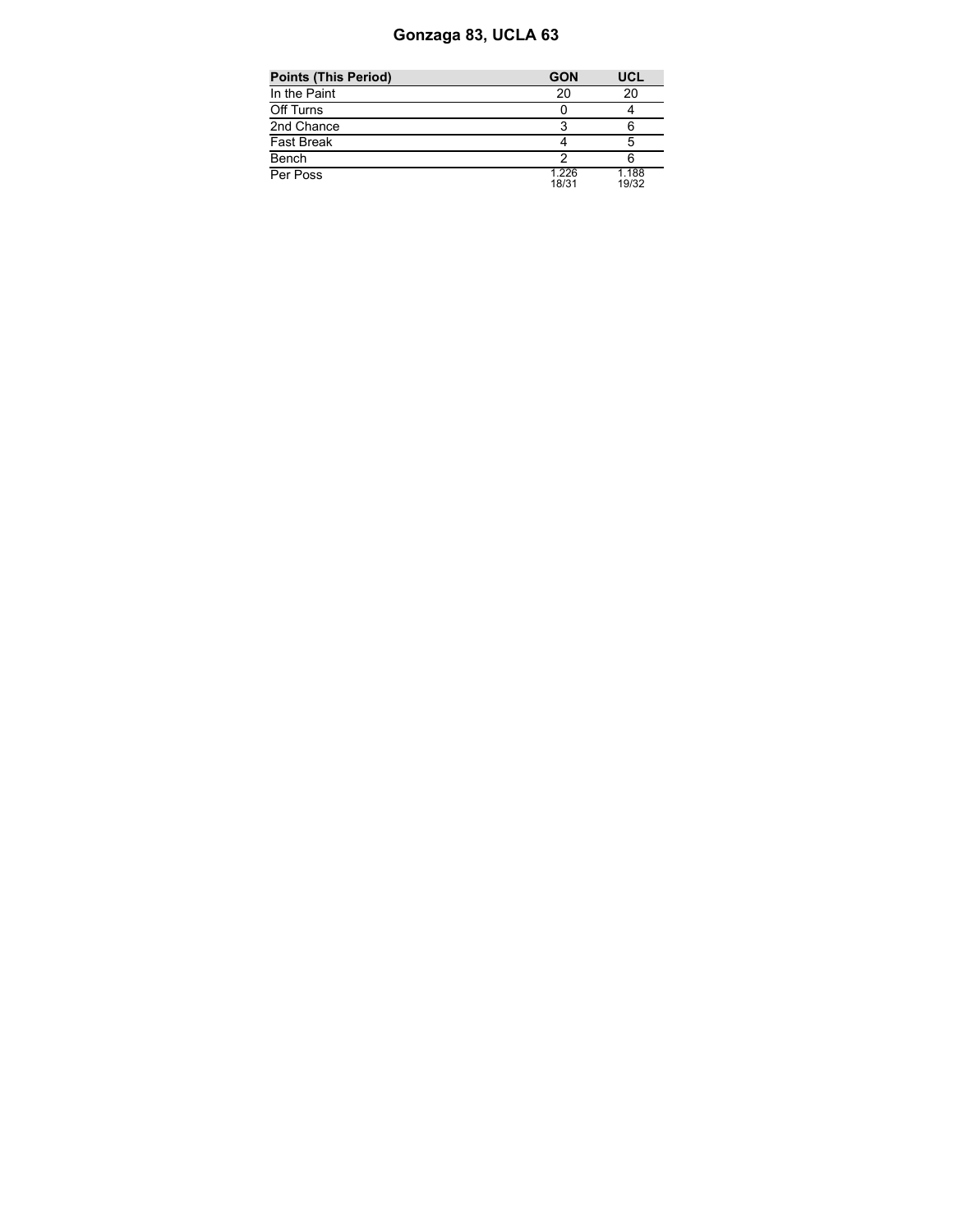# **Gonzaga 83, UCLA 63**

| <b>Points (This Period)</b> | <b>GON</b>     | UCL            |
|-----------------------------|----------------|----------------|
| In the Paint                | 20             | 20             |
| Off Turns                   |                |                |
| 2nd Chance                  |                |                |
| Fast Break                  |                | 5              |
| Bench                       |                |                |
| Per Poss                    | 1.226<br>18/31 | 1.188<br>19/32 |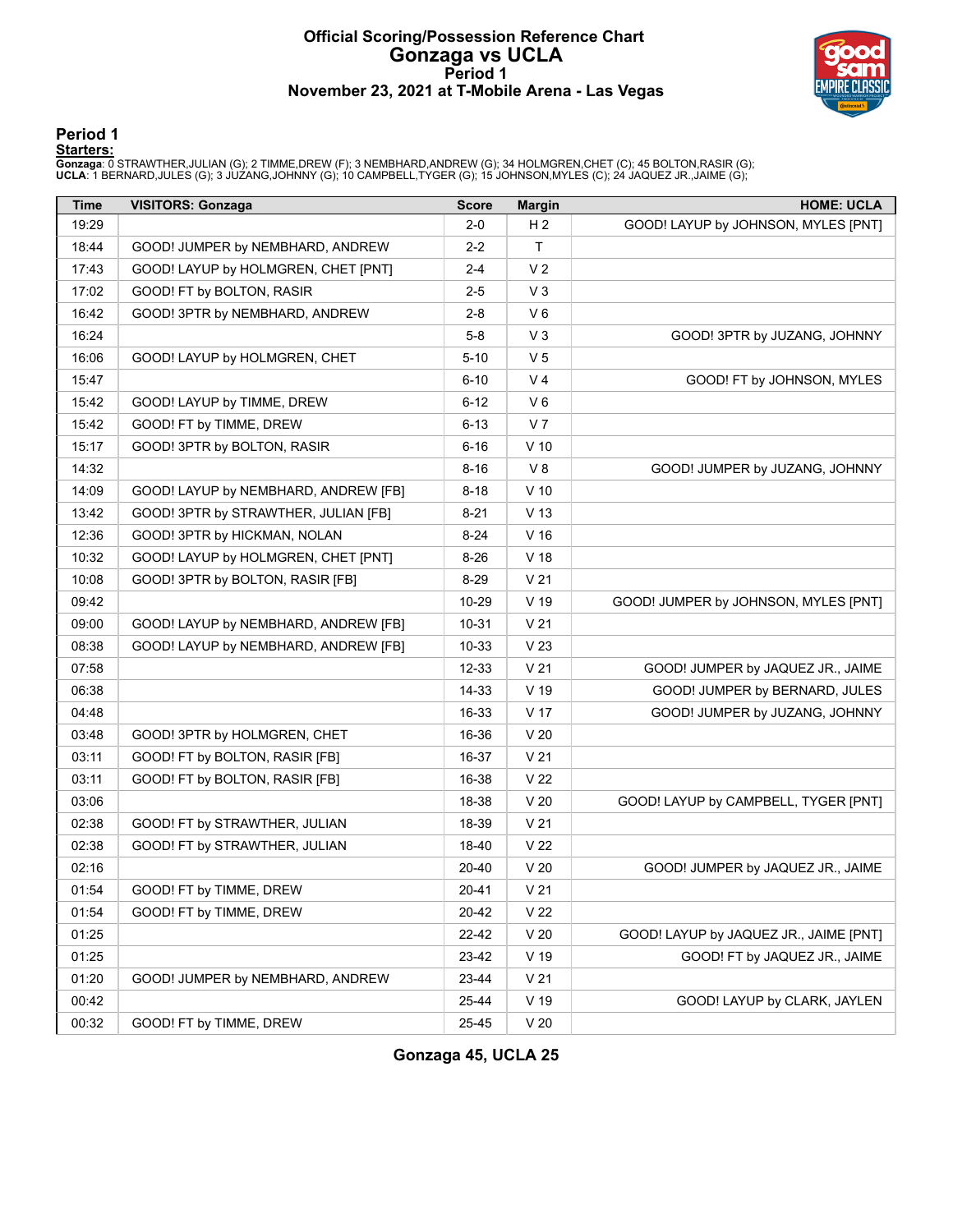# **Official Scoring/Possession Reference Chart Gonzaga vs UCLA Period 1 November 23, 2021 at T-Mobile Arena - Las Vegas**



#### **Period 1**

#### **Starters:**

**Gonzaga**: 0 STRAWTHER,JULIAN (G); 2 TIMME,DREW (F); 3 NEMBHARD,ANDREW (G); 34 HOLMGREN,CHET (C); 45 BOLTON,RASIR (G);<br>**UCLA**: 1 BERNARD,JULES (G); 3 JUZANG,JOHNNY (G); 10 CAMPBELL,TYGER (G); 15 JOHNSON,MYLES (C); 24 JAQUE

| <b>Time</b> | <b>VISITORS: Gonzaga</b>             | <b>Score</b> | <b>Margin</b>   | <b>HOME: UCLA</b>                      |
|-------------|--------------------------------------|--------------|-----------------|----------------------------------------|
| 19:29       |                                      | 2-0          | H <sub>2</sub>  | GOOD! LAYUP by JOHNSON, MYLES [PNT]    |
| 18:44       | GOOD! JUMPER by NEMBHARD, ANDREW     | 2-2          | T.              |                                        |
| 17:43       | GOOD! LAYUP by HOLMGREN, CHET [PNT]  | 2-4          | V <sub>2</sub>  |                                        |
| 17:02       | GOOD! FT by BOLTON, RASIR            | 2-5          | $V_3$           |                                        |
| 16:42       | GOOD! 3PTR by NEMBHARD, ANDREW       | $2 - 8$      | $V_6$           |                                        |
| 16:24       |                                      | 5-8          | $V_3$           | GOOD! 3PTR by JUZANG, JOHNNY           |
| 16:06       | GOOD! LAYUP by HOLMGREN, CHET        | $5 - 10$     | V <sub>5</sub>  |                                        |
| 15:47       |                                      | $6 - 10$     | V <sub>4</sub>  | GOOD! FT by JOHNSON, MYLES             |
| 15:42       | GOOD! LAYUP by TIMME, DREW           | $6 - 12$     | $V_6$           |                                        |
| 15:42       | GOOD! FT by TIMME, DREW              | $6 - 13$     | V <sub>7</sub>  |                                        |
| 15:17       | GOOD! 3PTR by BOLTON, RASIR          | $6 - 16$     | $V$ 10          |                                        |
| 14:32       |                                      | $8 - 16$     | V8              | GOOD! JUMPER by JUZANG, JOHNNY         |
| 14:09       | GOOD! LAYUP by NEMBHARD, ANDREW [FB] | $8 - 18$     | $V$ 10          |                                        |
| 13:42       | GOOD! 3PTR by STRAWTHER, JULIAN [FB] | $8 - 21$     | V <sub>13</sub> |                                        |
| 12:36       | GOOD! 3PTR by HICKMAN, NOLAN         | $8 - 24$     | $V$ 16          |                                        |
| 10:32       | GOOD! LAYUP by HOLMGREN, CHET [PNT]  | $8 - 26$     | V <sub>18</sub> |                                        |
| 10:08       | GOOD! 3PTR by BOLTON, RASIR [FB]     | $8 - 29$     | V <sub>21</sub> |                                        |
| 09:42       |                                      | 10-29        | V 19            | GOOD! JUMPER by JOHNSON, MYLES [PNT]   |
| 09:00       | GOOD! LAYUP by NEMBHARD, ANDREW [FB] | 10-31        | V <sub>21</sub> |                                        |
| 08:38       | GOOD! LAYUP by NEMBHARD, ANDREW [FB] | 10-33        | V <sub>23</sub> |                                        |
| 07:58       |                                      | 12-33        | V <sub>21</sub> | GOOD! JUMPER by JAQUEZ JR., JAIME      |
| 06:38       |                                      | 14-33        | V 19            | GOOD! JUMPER by BERNARD, JULES         |
| 04:48       |                                      | 16-33        | V 17            | GOOD! JUMPER by JUZANG, JOHNNY         |
| 03:48       | GOOD! 3PTR by HOLMGREN, CHET         | 16-36        | V <sub>20</sub> |                                        |
| 03:11       | GOOD! FT by BOLTON, RASIR [FB]       | 16-37        | V <sub>21</sub> |                                        |
| 03:11       | GOOD! FT by BOLTON, RASIR [FB]       | 16-38        | V <sub>22</sub> |                                        |
| 03:06       |                                      | 18-38        | V <sub>20</sub> | GOOD! LAYUP by CAMPBELL, TYGER [PNT]   |
| 02:38       | GOOD! FT by STRAWTHER, JULIAN        | 18-39        | V <sub>21</sub> |                                        |
| 02:38       | GOOD! FT by STRAWTHER, JULIAN        | 18-40        | V <sub>22</sub> |                                        |
| 02:16       |                                      | 20-40        | V <sub>20</sub> | GOOD! JUMPER by JAQUEZ JR., JAIME      |
| 01:54       | GOOD! FT by TIMME, DREW              | $20 - 41$    | V <sub>21</sub> |                                        |
| 01:54       | GOOD! FT by TIMME, DREW              | 20-42        | V <sub>22</sub> |                                        |
| 01:25       |                                      | 22-42        | V <sub>20</sub> | GOOD! LAYUP by JAQUEZ JR., JAIME [PNT] |
| 01:25       |                                      | 23-42        | $V$ 19          | GOOD! FT by JAQUEZ JR., JAIME          |
| 01:20       | GOOD! JUMPER by NEMBHARD, ANDREW     | 23-44        | V <sub>21</sub> |                                        |
| 00:42       |                                      | 25-44        | $V$ 19          | GOOD! LAYUP by CLARK, JAYLEN           |
| 00:32       | GOOD! FT by TIMME, DREW              | 25-45        | V <sub>20</sub> |                                        |

**Gonzaga 45, UCLA 25**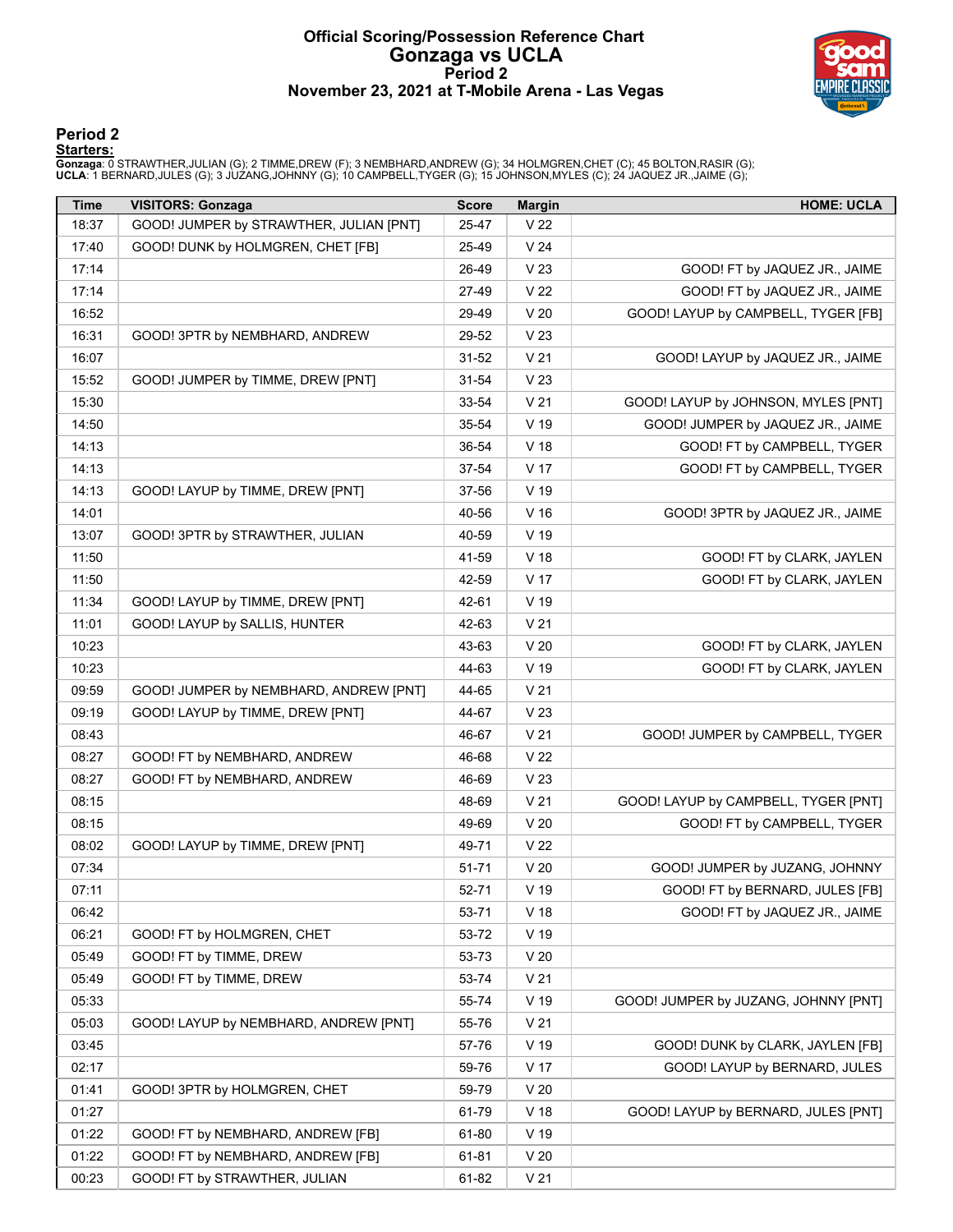#### **Official Scoring/Possession Reference Chart Gonzaga vs UCLA Period 2 November 23, 2021 at T-Mobile Arena - Las Vegas**



### **Period 2**

#### **Starters:**

**Gonzaga**: 0 STRAWTHER,JULIAN (G); 2 TIMME,DREW (F); 3 NEMBHARD,ANDREW (G); 34 HOLMGREN,CHET (C); 45 BOLTON,RASIR (G);<br>**UCLA**: 1 BERNARD,JULES (G); 3 JUZANG,JOHNNY (G); 10 CAMPBELL,TYGER (G); 15 JOHNSON,MYLES (C); 24 JAQUE

| Time  | <b>VISITORS: Gonzaga</b>                | <b>Score</b> | <b>Margin</b>   | <b>HOME: UCLA</b>                    |
|-------|-----------------------------------------|--------------|-----------------|--------------------------------------|
| 18:37 | GOOD! JUMPER by STRAWTHER, JULIAN [PNT] | 25-47        | V <sub>22</sub> |                                      |
| 17:40 | GOOD! DUNK by HOLMGREN, CHET [FB]       | 25-49        | V <sub>24</sub> |                                      |
| 17:14 |                                         | 26-49        | V <sub>23</sub> | GOOD! FT by JAQUEZ JR., JAIME        |
| 17:14 |                                         | 27-49        | V <sub>22</sub> | GOOD! FT by JAQUEZ JR., JAIME        |
| 16:52 |                                         | 29-49        | V <sub>20</sub> | GOOD! LAYUP by CAMPBELL, TYGER [FB]  |
| 16:31 | GOOD! 3PTR by NEMBHARD, ANDREW          | 29-52        | V <sub>23</sub> |                                      |
| 16:07 |                                         | $31 - 52$    | V <sub>21</sub> | GOOD! LAYUP by JAQUEZ JR., JAIME     |
| 15:52 | GOOD! JUMPER by TIMME, DREW [PNT]       | $31 - 54$    | V <sub>23</sub> |                                      |
| 15:30 |                                         | 33-54        | V <sub>21</sub> | GOOD! LAYUP by JOHNSON, MYLES [PNT]  |
| 14:50 |                                         | 35-54        | V 19            | GOOD! JUMPER by JAQUEZ JR., JAIME    |
| 14:13 |                                         | 36-54        | V <sub>18</sub> | GOOD! FT by CAMPBELL, TYGER          |
| 14:13 |                                         | 37-54        | V 17            | GOOD! FT by CAMPBELL, TYGER          |
| 14:13 | GOOD! LAYUP by TIMME, DREW [PNT]        | 37-56        | $V$ 19          |                                      |
| 14:01 |                                         | 40-56        | V <sub>16</sub> | GOOD! 3PTR by JAQUEZ JR., JAIME      |
| 13:07 | GOOD! 3PTR by STRAWTHER, JULIAN         | 40-59        | $V$ 19          |                                      |
| 11:50 |                                         | 41-59        | V <sub>18</sub> | GOOD! FT by CLARK, JAYLEN            |
| 11:50 |                                         | 42-59        | V 17            | GOOD! FT by CLARK, JAYLEN            |
| 11:34 | GOOD! LAYUP by TIMME, DREW [PNT]        | 42-61        | V 19            |                                      |
| 11:01 | GOOD! LAYUP by SALLIS, HUNTER           | 42-63        | V <sub>21</sub> |                                      |
| 10:23 |                                         | 43-63        | V <sub>20</sub> | GOOD! FT by CLARK, JAYLEN            |
| 10:23 |                                         | 44-63        | V 19            | GOOD! FT by CLARK, JAYLEN            |
| 09:59 | GOOD! JUMPER by NEMBHARD, ANDREW [PNT]  | 44-65        | V <sub>21</sub> |                                      |
| 09:19 | GOOD! LAYUP by TIMME, DREW [PNT]        | 44-67        | V <sub>23</sub> |                                      |
| 08:43 |                                         | 46-67        | V <sub>21</sub> | GOOD! JUMPER by CAMPBELL, TYGER      |
| 08:27 | GOOD! FT by NEMBHARD, ANDREW            | 46-68        | V <sub>22</sub> |                                      |
| 08:27 | GOOD! FT by NEMBHARD, ANDREW            | 46-69        | V <sub>23</sub> |                                      |
| 08:15 |                                         | 48-69        | V <sub>21</sub> | GOOD! LAYUP by CAMPBELL, TYGER [PNT] |
| 08:15 |                                         | 49-69        | V <sub>20</sub> | GOOD! FT by CAMPBELL, TYGER          |
| 08:02 | GOOD! LAYUP by TIMME, DREW [PNT]        | 49-71        | V <sub>22</sub> |                                      |
| 07:34 |                                         | 51-71        | V <sub>20</sub> | GOOD! JUMPER by JUZANG, JOHNNY       |
| 07:11 |                                         | 52-71        | $V$ 19          | GOOD! FT by BERNARD, JULES [FB]      |
| 06:42 |                                         | 53-71        | V <sub>18</sub> | GOOD! FT by JAQUEZ JR., JAIME        |
| 06:21 | GOOD! FT by HOLMGREN, CHET              | 53-72        | V 19            |                                      |
| 05:49 | GOOD! FT by TIMME, DREW                 | 53-73        | V <sub>20</sub> |                                      |
| 05:49 | GOOD! FT by TIMME, DREW                 | 53-74        | V <sub>21</sub> |                                      |
| 05:33 |                                         | 55-74        | $V$ 19          | GOOD! JUMPER by JUZANG, JOHNNY [PNT] |
| 05:03 | GOOD! LAYUP by NEMBHARD, ANDREW [PNT]   | 55-76        | V <sub>21</sub> |                                      |
| 03:45 |                                         | 57-76        | V 19            | GOOD! DUNK by CLARK, JAYLEN [FB]     |
| 02:17 |                                         | 59-76        | V 17            | GOOD! LAYUP by BERNARD, JULES        |
| 01:41 | GOOD! 3PTR by HOLMGREN, CHET            | 59-79        | V <sub>20</sub> |                                      |
| 01:27 |                                         | 61-79        | V <sub>18</sub> | GOOD! LAYUP by BERNARD, JULES [PNT]  |
| 01:22 | GOOD! FT by NEMBHARD, ANDREW [FB]       | 61-80        | $V$ 19          |                                      |
| 01:22 | GOOD! FT by NEMBHARD, ANDREW [FB]       | 61-81        | V <sub>20</sub> |                                      |
|       |                                         |              |                 |                                      |
| 00:23 | GOOD! FT by STRAWTHER, JULIAN           | 61-82        | V <sub>21</sub> |                                      |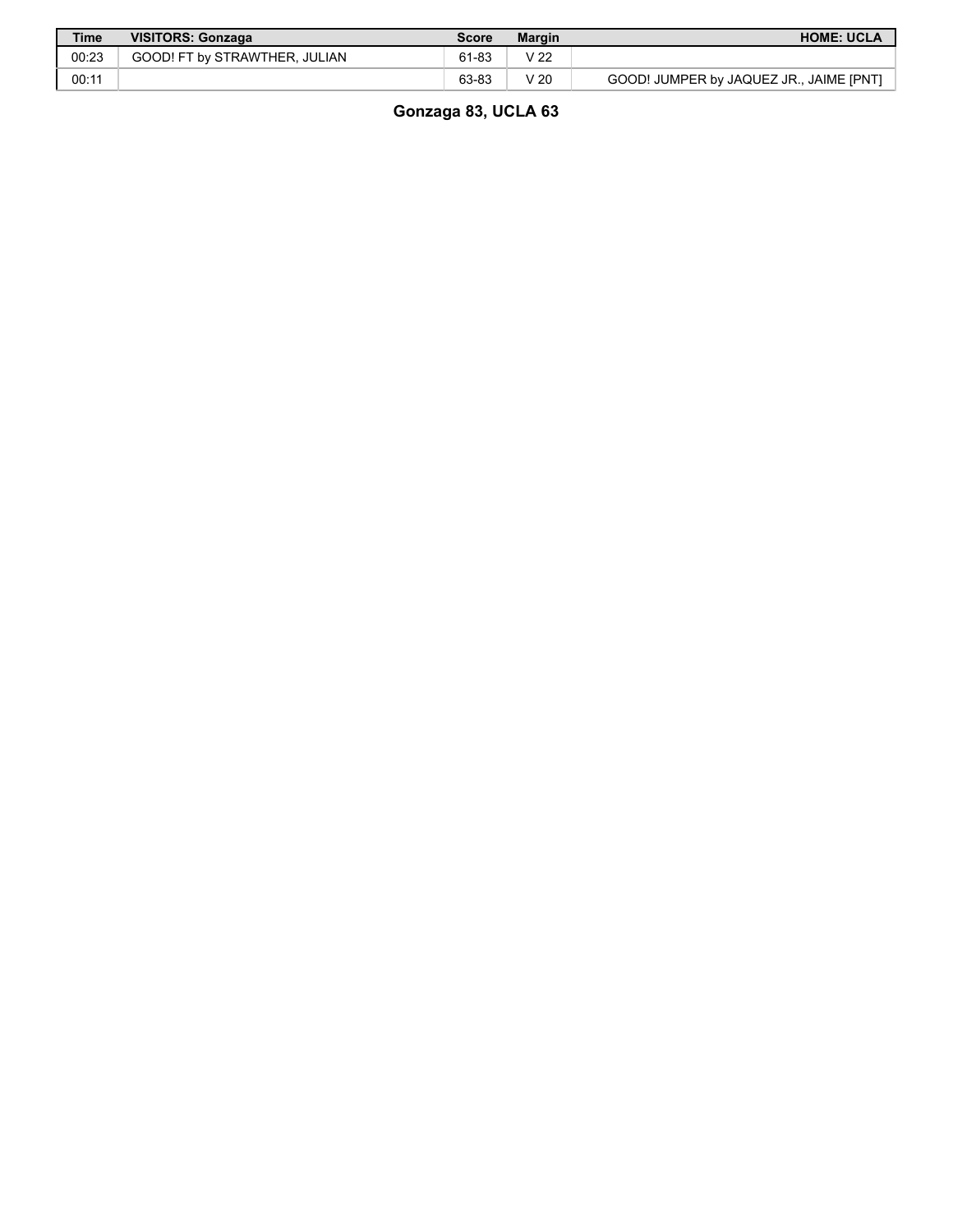| <b>Time</b> | <b>VISITORS: Gonzaga</b>      | Score | <b>Margin</b> | <b>HOME: UCLA</b>                       |
|-------------|-------------------------------|-------|---------------|-----------------------------------------|
| 00:23       | GOOD! FT by STRAWTHER. JULIAN | 61-83 | V 22          |                                         |
| 00:11       |                               | 63-83 | 7 20          | GOOD! JUMPER by JAQUEZ JR., JAIME [PNT] |

**Gonzaga 83, UCLA 63**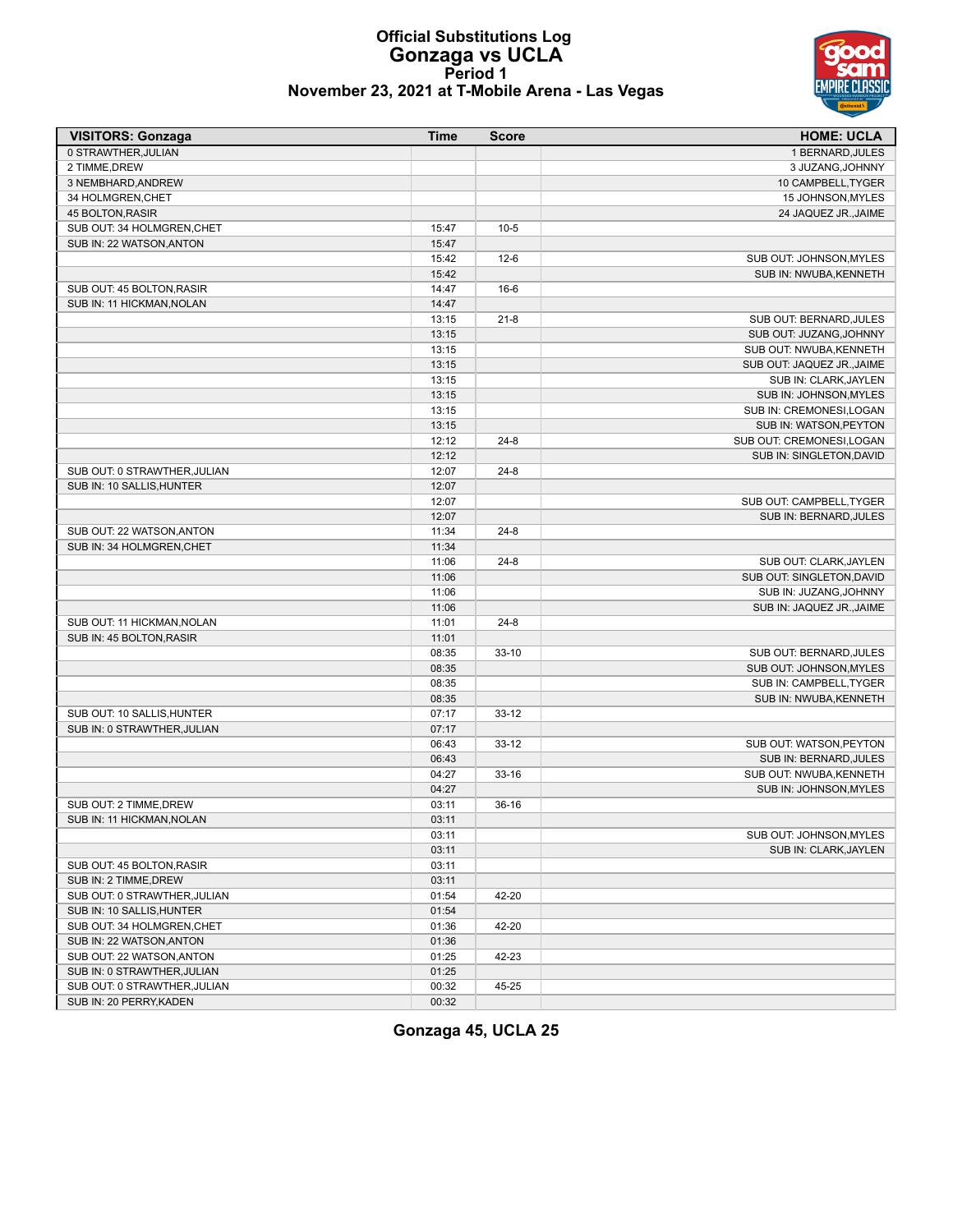

#### **Official Substitutions Log Gonzaga vs UCLA Period 1 November 23, 2021 at T-Mobile Arena - Las Vegas**

| <b>VISITORS: Gonzaga</b>     | <b>Time</b> | <b>Score</b> | <b>HOME: UCLA</b>          |
|------------------------------|-------------|--------------|----------------------------|
| 0 STRAWTHER, JULIAN          |             |              | 1 BERNARD, JULES           |
| 2 TIMME, DREW                |             |              | 3 JUZANG, JOHNNY           |
| 3 NEMBHARD, ANDREW           |             |              | 10 CAMPBELL, TYGER         |
| 34 HOLMGREN, CHET            |             |              | 15 JOHNSON, MYLES          |
| 45 BOLTON, RASIR             |             |              | 24 JAQUEZ JR., JAIME       |
| SUB OUT: 34 HOLMGREN, CHET   | 15:47       | $10-5$       |                            |
| SUB IN: 22 WATSON, ANTON     | 15:47       |              |                            |
|                              | 15:42       | $12-6$       | SUB OUT: JOHNSON, MYLES    |
|                              | 15:42       |              | SUB IN: NWUBA, KENNETH     |
| SUB OUT: 45 BOLTON, RASIR    | 14:47       | $16-6$       |                            |
| SUB IN: 11 HICKMAN, NOLAN    | 14:47       |              |                            |
|                              | 13:15       | $21 - 8$     | SUB OUT: BERNARD, JULES    |
|                              | 13:15       |              | SUB OUT: JUZANG, JOHNNY    |
|                              | 13:15       |              | SUB OUT: NWUBA, KENNETH    |
|                              | 13:15       |              | SUB OUT: JAQUEZ JR., JAIME |
|                              | 13:15       |              | SUB IN: CLARK, JAYLEN      |
|                              | 13:15       |              | SUB IN: JOHNSON, MYLES     |
|                              | 13:15       |              | SUB IN: CREMONESI, LOGAN   |
|                              | 13:15       |              | SUB IN: WATSON, PEYTON     |
|                              | 12:12       | $24 - 8$     | SUB OUT: CREMONESI, LOGAN  |
|                              | 12:12       |              | SUB IN: SINGLETON, DAVID   |
| SUB OUT: 0 STRAWTHER, JULIAN | 12:07       | $24 - 8$     |                            |
| SUB IN: 10 SALLIS, HUNTER    | 12:07       |              |                            |
|                              | 12:07       |              | SUB OUT: CAMPBELL, TYGER   |
|                              | 12:07       |              | SUB IN: BERNARD, JULES     |
| SUB OUT: 22 WATSON, ANTON    | 11:34       | $24 - 8$     |                            |
| SUB IN: 34 HOLMGREN, CHET    | 11:34       |              |                            |
|                              | 11:06       | $24 - 8$     | SUB OUT: CLARK, JAYLEN     |
|                              | 11:06       |              | SUB OUT: SINGLETON, DAVID  |
|                              | 11:06       |              | SUB IN: JUZANG, JOHNNY     |
|                              | 11:06       |              | SUB IN: JAQUEZ JR., JAIME  |
| SUB OUT: 11 HICKMAN, NOLAN   | 11:01       | $24 - 8$     |                            |
| SUB IN: 45 BOLTON, RASIR     | 11:01       |              |                            |
|                              | 08:35       | $33-10$      | SUB OUT: BERNARD, JULES    |
|                              | 08:35       |              | SUB OUT: JOHNSON, MYLES    |
|                              | 08:35       |              | SUB IN: CAMPBELL, TYGER    |
|                              | 08:35       |              | SUB IN: NWUBA, KENNETH     |
| SUB OUT: 10 SALLIS, HUNTER   | 07:17       | $33 - 12$    |                            |
| SUB IN: 0 STRAWTHER, JULIAN  | 07:17       |              |                            |
|                              | 06:43       | $33 - 12$    | SUB OUT: WATSON, PEYTON    |
|                              | 06:43       |              | SUB IN: BERNARD, JULES     |
|                              | 04:27       | $33-16$      | SUB OUT: NWUBA, KENNETH    |
|                              | 04:27       |              | SUB IN: JOHNSON, MYLES     |
| SUB OUT: 2 TIMME, DREW       | 03:11       | $36-16$      |                            |
| SUB IN: 11 HICKMAN, NOLAN    | 03:11       |              |                            |
|                              | 03:11       |              | SUB OUT: JOHNSON, MYLES    |
|                              | 03:11       |              | SUB IN: CLARK, JAYLEN      |
| SUB OUT: 45 BOLTON, RASIR    | 03:11       |              |                            |
| SUB IN: 2 TIMME, DREW        | 03:11       |              |                            |
| SUB OUT: 0 STRAWTHER, JULIAN | 01:54       | 42-20        |                            |
| SUB IN: 10 SALLIS, HUNTER    | 01:54       |              |                            |
| SUB OUT: 34 HOLMGREN, CHET   | 01:36       | 42-20        |                            |
| SUB IN: 22 WATSON, ANTON     | 01:36       |              |                            |
| SUB OUT: 22 WATSON, ANTON    | 01:25       | 42-23        |                            |
| SUB IN: 0 STRAWTHER, JULIAN  | 01:25       |              |                            |
| SUB OUT: 0 STRAWTHER, JULIAN | 00:32       | 45-25        |                            |
| SUB IN: 20 PERRY, KADEN      | 00:32       |              |                            |

**Gonzaga 45, UCLA 25**